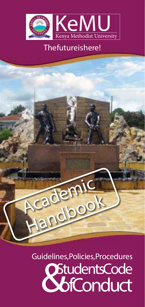

# The future is here!



**StudentsCode** Guidelines, Policies, Procedures **bfConduct**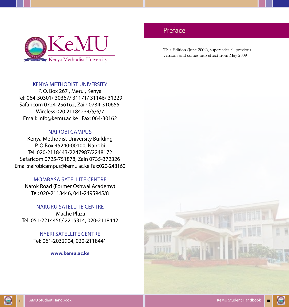<span id="page-1-0"></span>

#### KENYA METHODIST UNIVERSITY

P. O. Box 267 , Meru , Kenya Tel: 064-30301/ 30367/ 31171/ 31146/ 31229 Safaricom 0724-256162, Zain 0734-310655, Wireless 020 21184234/5/6/7 Email: info@kemu.ac.ke | Fax: 064-30162

#### NAIROBI CAMPUS

Kenya Methodist University Building P. O Box 45240-00100, Nairobi Tel: 020-2118443/2247987/2248172 Safaricom 0725-751878, Zain 0735-372326 Email: nairobicampus@kemu.ac.ke | Fax: 020-248160

#### MOMBASA SATELLITE CENTRE

Narok Road (Former Oshwal Academy) Tel: 020-2118446, 041-2495945/8

#### NAKURU SATELLITE CENTRE

Mache Plaza Tel: 051-2214456/ 2215314, 020-2118442

> NYERI SATELLITE CENTRE Tel: 061-2032904, 020-2118441

> > **www.kemu.ac.ke**

# Preface

This Edition (June 2009), supersedes all previous versions and comes into effect from May 2009





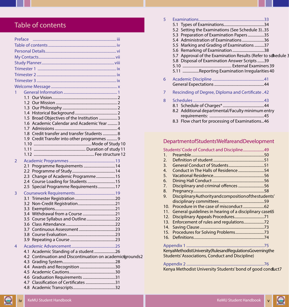# Table of contents

| Preface                                                                    |  |  |  |  |  |  |
|----------------------------------------------------------------------------|--|--|--|--|--|--|
|                                                                            |  |  |  |  |  |  |
|                                                                            |  |  |  |  |  |  |
|                                                                            |  |  |  |  |  |  |
|                                                                            |  |  |  |  |  |  |
|                                                                            |  |  |  |  |  |  |
|                                                                            |  |  |  |  |  |  |
|                                                                            |  |  |  |  |  |  |
|                                                                            |  |  |  |  |  |  |
| 1                                                                          |  |  |  |  |  |  |
|                                                                            |  |  |  |  |  |  |
|                                                                            |  |  |  |  |  |  |
|                                                                            |  |  |  |  |  |  |
|                                                                            |  |  |  |  |  |  |
| 1.5 Broad Objectives of the Institution  3                                 |  |  |  |  |  |  |
| 1.6 Academic Calendar and Academic Year  3                                 |  |  |  |  |  |  |
|                                                                            |  |  |  |  |  |  |
| 1.8 Credit transfer and transfer Students  8                               |  |  |  |  |  |  |
| 1.9 Credit Transfer into other programmes  9                               |  |  |  |  |  |  |
|                                                                            |  |  |  |  |  |  |
|                                                                            |  |  |  |  |  |  |
|                                                                            |  |  |  |  |  |  |
| $\overline{2}$                                                             |  |  |  |  |  |  |
|                                                                            |  |  |  |  |  |  |
|                                                                            |  |  |  |  |  |  |
| 2.3 Change of Academic Programme 15<br>2.4 Course Loading for Students  15 |  |  |  |  |  |  |
| 2.5 Special Programme Requirements17                                       |  |  |  |  |  |  |
|                                                                            |  |  |  |  |  |  |
| 3                                                                          |  |  |  |  |  |  |
|                                                                            |  |  |  |  |  |  |
|                                                                            |  |  |  |  |  |  |
|                                                                            |  |  |  |  |  |  |
|                                                                            |  |  |  |  |  |  |
|                                                                            |  |  |  |  |  |  |
|                                                                            |  |  |  |  |  |  |
|                                                                            |  |  |  |  |  |  |
|                                                                            |  |  |  |  |  |  |
| $\overline{4}$                                                             |  |  |  |  |  |  |
| 4.1 Academic Standing of a student26                                       |  |  |  |  |  |  |
| 4.2 Continuation and Discontinuation on academic@rounds2                   |  |  |  |  |  |  |
|                                                                            |  |  |  |  |  |  |
|                                                                            |  |  |  |  |  |  |
|                                                                            |  |  |  |  |  |  |
|                                                                            |  |  |  |  |  |  |
| 4.7 Classification of Certificates 31                                      |  |  |  |  |  |  |
|                                                                            |  |  |  |  |  |  |

| 5 | 5.2 Setting the Examinations (See Schedule 3)35<br>5.3 Preparation of Examination Papers35<br>5.4 Administration of Examinations36<br>5.5 Marking and Grading of Examinations 37<br>5.7 Approval of the Examination Results (Refer to schedule 3<br>5.8 Disposal of Examination Answer Scripts 39 |
|---|---------------------------------------------------------------------------------------------------------------------------------------------------------------------------------------------------------------------------------------------------------------------------------------------------|
|   | 5.11 Reporting Examination Irregularities 40                                                                                                                                                                                                                                                      |
| 6 |                                                                                                                                                                                                                                                                                                   |
| 7 | 42. Rescinding of Degree, Diploma and Certificate                                                                                                                                                                                                                                                 |
| 8 | 8.2 Additional departmental/Faculty minimum entry<br>8.3 Flow chart for processing of Examinations46                                                                                                                                                                                              |

# Department of Students Welfare and Development

|                                                          | 5tudents' Code of Conduct and Discipline49              |  |  |  |  |  |  |
|----------------------------------------------------------|---------------------------------------------------------|--|--|--|--|--|--|
| 1.                                                       |                                                         |  |  |  |  |  |  |
| 2.                                                       |                                                         |  |  |  |  |  |  |
| 3.                                                       |                                                         |  |  |  |  |  |  |
| 4.                                                       | Conduct in The Halls of Residence 54                    |  |  |  |  |  |  |
| 5.                                                       |                                                         |  |  |  |  |  |  |
| 6.                                                       |                                                         |  |  |  |  |  |  |
| 7.                                                       | Disciplinary and criminal offences 56                   |  |  |  |  |  |  |
| 8.                                                       |                                                         |  |  |  |  |  |  |
| 9.                                                       | Disciplinary Authority and composition of the students' |  |  |  |  |  |  |
|                                                          |                                                         |  |  |  |  |  |  |
| 10 <sub>1</sub>                                          |                                                         |  |  |  |  |  |  |
| 11.                                                      | General guidelines in hearing of a disciplinary case65  |  |  |  |  |  |  |
| 12.                                                      | Disciplinary Appeals Procedures71                       |  |  |  |  |  |  |
| 13.                                                      | Enforcement of rules and regulations72                  |  |  |  |  |  |  |
| 14.                                                      |                                                         |  |  |  |  |  |  |
| 15.                                                      | Procedures for Solving Problems73                       |  |  |  |  |  |  |
| 16.                                                      |                                                         |  |  |  |  |  |  |
|                                                          |                                                         |  |  |  |  |  |  |
| KenyaMethodistUniversity(RulesandRegulationsGoverningthe |                                                         |  |  |  |  |  |  |
|                                                          | <b>Students' Associations, Conduct and Discipline)</b>  |  |  |  |  |  |  |
|                                                          |                                                         |  |  |  |  |  |  |

[Kenya Methodist University Students' bond of good condu](#page-43-0)ct7

G

 $\bullet$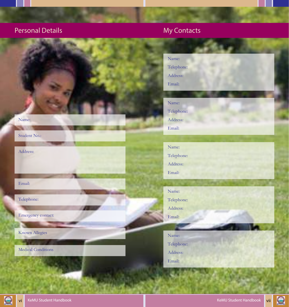# <span id="page-3-0"></span>Personal Details My Contacts



Student No.:

Address:

Email:

Telephone:

Emergency contact:

Known Allegies

Medical Conditions



Name: Telephone: Address: Email:

Name: Telephone: Address: Email:



Name:

Telephone:

Address:

Email:



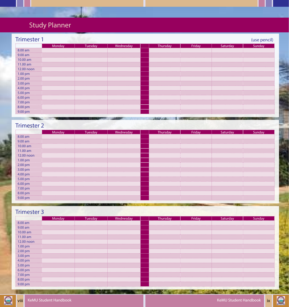# <span id="page-4-0"></span>Study Planner

| <b>Trimester 1</b> |        |         |           |          |        |          | (use pencil) |
|--------------------|--------|---------|-----------|----------|--------|----------|--------------|
|                    | Monday | Tuesday | Wednesday | Thursday | Friday | Saturday | Sunday       |
| 8.00 am            |        |         |           |          |        |          |              |
| 9.00 am            |        |         |           |          |        |          |              |
| 10.00 am           |        |         |           |          |        |          |              |
| 11.00 am           |        |         |           |          |        |          |              |
| 12.00 noon         |        |         |           |          |        |          |              |
| $1.00 \text{ pm}$  |        |         |           |          |        |          |              |
| 2.00 pm            |        |         |           |          |        |          |              |
| 3.00 pm            |        |         |           |          |        |          |              |
| 4.00 pm            |        |         |           |          |        |          |              |
| 5.00 pm            |        |         |           |          |        |          |              |
| $6.00 \text{ pm}$  |        |         |           |          |        |          |              |
| 7.00 pm            |        |         |           |          |        |          |              |
| 8.00 pm            |        |         |           |          |        |          |              |
| 9.00 pm            |        |         |           |          |        |          |              |

# Trimester 2

|            | Monday | Tuesday | Wednesday | Thursday | Friday | Saturday | Sunday |
|------------|--------|---------|-----------|----------|--------|----------|--------|
| 8.00 am    |        |         |           |          |        |          |        |
| 9.00 am    |        |         |           |          |        |          |        |
| 10.00 am   |        |         |           |          |        |          |        |
| 11.00 am   |        |         |           |          |        |          |        |
| 12.00 noon |        |         |           |          |        |          |        |
| 1.00 pm    |        |         |           |          |        |          |        |
| 2.00 pm    |        |         |           |          |        |          |        |
| 3.00 pm    |        |         |           |          |        |          |        |
| 4.00 pm    |        |         |           |          |        |          |        |
| 5.00 pm    |        |         |           |          |        |          |        |
| 6.00 pm    |        |         |           |          |        |          |        |
| 7.00 pm    |        |         |           |          |        |          |        |
| 8.00 pm    |        |         |           |          |        |          |        |
| 9.00 pm    |        |         |           |          |        |          |        |

# Trimester 3

|                   | Monday | Tuesday | Wednesday |   | Thursday | Friday | Saturday | Sunday |
|-------------------|--------|---------|-----------|---|----------|--------|----------|--------|
| 8.00 am           |        |         |           |   |          |        |          |        |
| 9.00 am<br>.      |        |         |           |   |          |        |          |        |
| 10.00 am          |        |         |           |   |          |        |          |        |
| 11.00 am          |        |         |           |   |          |        |          |        |
| 12.00 noon        |        |         |           |   |          |        |          |        |
| 1.00 pm           |        |         |           |   |          |        |          |        |
| 2.00 pm           |        |         |           |   |          |        |          |        |
| 3.00 pm           |        |         |           | . |          |        |          |        |
| 4.00 pm           |        |         |           |   |          |        |          |        |
| 5.00 pm           |        |         |           |   |          |        |          |        |
| 6.00 pm           |        |         |           |   |          |        |          |        |
| 7.00 pm           |        |         |           |   |          |        |          |        |
| 8.00 pm           |        |         |           |   |          |        |          |        |
| $9.00 \text{ pm}$ |        |         |           |   |          |        |          |        |

r ili

**HART IN AND THE CARD OF** 



 $\bigcirc$ 

**REMOVABLE AND A REMOVAL CONTROL**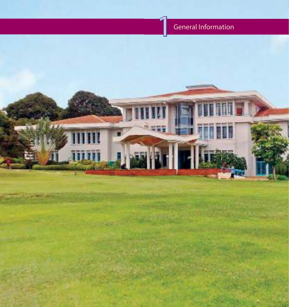# General Information

<span id="page-5-0"></span>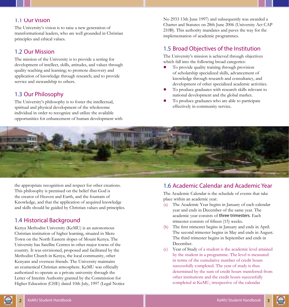#### <span id="page-6-0"></span>1.1 Our Vision

The University's vision is to raise a new generation of transformational leaders, who are well grounded in Christian principles and ethical values.

#### 1.2 Our Mission

The mission of the University is to provide a setting for development of intellect, skills, attitudes, and values through quality teaching and learning; to promote discovery and application of knowledge through research; and to provide service and stewardship to others.

## 1.3 Our Philosophy

The University's philosophy is to foster the intellectual, spiritual and physical development of the wholesome individual in order to recognize and utilize the available opportunities for enhancement of human development with No 2933 13th June 1997) and subsequently was awarded a Charter and Statutes on 28th June 2006 (University Act CAP 210B). This authority mandates and paves the way for the implementation of academic programmes.

#### 1.5 Broad Objectives of the Institution

The University's mission is achieved through objectives which fall into the following broad categories:

- To provide quality training through provision of scholarship specialized skills, advancement of knowledge through research and consultancy, and development of other specialized academic activities.
- To produce graduates with research skills relevant to national development and the global market.
- To produce graduates who are able to participate effectively in community service.



the appropriate recognition and respect for other creations. This philosophy is premised on the belief that God is the creator of Heaven and Earth, and the fountain of Knowledge, and that the application of acquired knowledge and skills should be guided by Christian values and principles.

## 1.4 Historical Background

Kenya Methodist University (KeMU) is an autonomous Christian institution of higher learning, situated in Meru Town on the North Eastern slopes of Mount Kenya. The University has Satellite Centres in other major towns of the country. It was envisioned, proposed and facilitated by the Methodist Church in Kenya, the local community, other Kenyans and overseas friends. The University maintains an ecumenical Christian atmosphere. KeMU was officially authorized to operate as a private university through the Letter of Interim Authority granted by the Commission for Higher Education (CHE) dated 10th July, 1997 (Legal Notice

#### 1.6 Academic Calendar and Academic Year

The Academic Calendar is the schedule of events that take place within an academic year.

- (a) The Academic Year begins in January of each calendar year and ends in December of the same year. The academic year consists of three trimesters. Each trimester consists of fifteen (15) weeks.
- (b) The first trimester begins in January and ends in April. The second trimester begins in May and ends in August. The third trimester begins in September and ends in December.
- (c) Year of Study of a student is the academic level attained by the student in a programme. The level is measured in terms of the cumulative number of credit hours successfully completed. The year of study is thus determined by the sum of credit hours transferred from other institutions and the credit hours successfully completed at KeMU, irrespective of the calendar

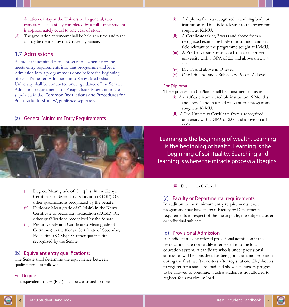<span id="page-7-0"></span>duration of stay at the University. In general, two trimesters successfully completed by a full - time student is approximately equal to one year of study.

The graduation ceremony shall be held at a time and place as may be decided by the University Senate.

#### 1.7 Admissions

A student is admitted into a programme when he or she meets entry requirements into that programme and level. Admission into a programme is done before the beginning of each Trimester. Admission into Kenya Methodist University shall be conducted under guidance of the Senate. Admission requirements for Postgraduate Programmes are stipulated in the 'Common Regulations and Procedures for Postgraduate Studies', published seperately.

#### (a) General Minimum Entry Requirements



- (i) Degree: Mean grade of C+ (plus) in the Kenya Certificate of Secondary Education (KCSE) OR other qualifications recognized by the Senate.
- (ii) Diploma: Mean grade of C (plain) in the Kenya Certificate of Secondary Education (KCSE) OR other qualifications recognized by the Senate
- (iii) Pre-university and Certificates: Mean grade of C- (minus) in the Kenya Certificate of Secondary Education (KCSE) OR other qualifications recognized by the Senate

#### (b) Equivalent entry qualifications:

The Senate shall determine the equivalence between qualifications as follows:

#### For Degree

The equivalent to  $C+$  (Plus) shall be construed to mean:

- (i) A diploma from a recognized examining body or institution and in a field relevant to the programme sought at KeMU.
- (ii) A Certificate taking 2 years and above from a recognized examining body or institution and in a field relevant to the programme sought at KeMU.
- (iii) A Pre-University Certificate from a recognized university with a GPA of 2.5 and above on a 1-4 scale.
- (iv) Div 11 and above in O-level.
- (v) One Principal and a Subsidiary Pass in A-Level.

#### For Diploma

The equivalent to C (Plain) shall be construed to mean:

- (i) A certificate from a credible institution (6 Months and above) and in a field relevant to a programme sought at KeMU.
- (ii) A Pre-University Certificate from a recognized university with a GPA of 2.00 and above on a 1-4 scale.

Learning is the beginning of wealth. Learning is the beginning of health. Learning is the beginning of spirituality. Searching and learning is where the miracle process all begins.

(iii) Div 111 in O-Level

#### (c) Faculty or Departmental requirements

In addition to the minimum entry requirements, each programme may have its own Faculty or Departmental requirements in respect of the mean grade, the subject cluster or individual subjects.

#### (d) Provisional Admission

A candidate may be offered provisional admission if the certifications are not readily interpreted into the local education system. A candidate who is under provisional admission will be considered as being on academic probation during the first two Trimesters after registration. He/she has to register for a standard load and show satisfactory progress to be allowed to continue. Such a student is not allowed to register for a maximum load.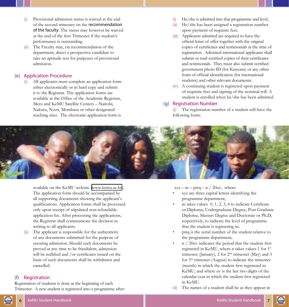- Provisional admission status is waived at the end of the second trimester on the recommendation of the faculty. The status may however be waived at the end of the first Trimester if the student's performance is outstanding.
- The Faculty may, on recommendation of the department, direct a prospective candidate to take an aptitude test for purposes of provisional admission.

#### (e) Application Procedure

(i) All applicants must complete an application form either electronically or in hard copy and submit it to the Registrar. The application forms are available at the Office of the Academic Registrar, Meru and KeMU Satellite Centers – Nairobi, Nakuru, Nyeri, Mombasa or other designated teaching sites. The electronic application form is

- (i) He/she is admitted into that programme and level,
- (ii) He/she has been assigned a registration number upon payment of requisite fees.
- (iii) Applicants admitted are required to have the official letter of offer together with the original copies of certificates and testimonials at the time of registration. Admitted international applicants shall submit or mail certified copies of their certificates and testimonials. They must also submit certified government photo ID (for Kenyans) or any other form of official identification (for international students) and other relevant documents.
- (iv) A continuing student is registered upon payment of requisite fees and signing of the nominal roll. A student is enrolled when he/she has been admitted.

#### (g) Registration Number

(i) The registration number of a student will have the following form:



available on the KeMU website (www.kemu.ac.ke). The application form should be accompanied by all supporting documents showing the applicant's qualifications. Application forms shall be processed only upon receipt of stipulated non-refundable application fee. After processing the applications, the Registrar shall communicate the decision in writing to all applicants.

The applicant is responsible for the authenticity of any documents submitted for the purpose of securing admission. Should such documents be proved at any time to be fraudulent, admission will be nullified and /or certificates issued on the basis of such documents shall be withdrawn and cancelled.

#### (f) Registration

Registration of students is done at the beginning of each Trimester. A new student is registered into a programme after:  $xyz - m - ptrq - n / 20uv$ , where:

- xyz are three capital letters identifying the programme department;
- $m$  takes values  $0, 1, 2, 3, 4$  to indicate Certificate or Diploma, Undergraduate Degree, Post Graduate Diploma, Masters Degree and Doctorate or Ph.D, respectively, to indicate the level of programme that the student is registering in;
- ptrq is the serial number of the student relative to the programme department;
- n / 20uv indicates the period that the student first registered in KeMU, where n takes values 1 for 1st trimester (January), 2 for  $2<sup>nd</sup>$  trimester (May) and 3 for 3rd trimester (August) to indicate the trimester (month) in which the student first registered in KeMU; and where uv is the last two digits of the calendar year in which the student first registered in KeMU.
- (ii) The names of a student shall be as they appear in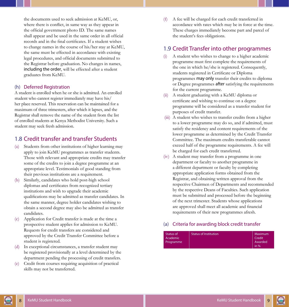<span id="page-9-0"></span>the documents used to seek admission at KeMU, or, where there is conflict, in same way as they appear in the official government photo ID. The same names shall appear and be used in the same order in all official records and in the final certificates. If a student wishes to change names in the course of his/her stay at KeMU, the same must be effected in accordance with existing legal procedures, and official documents submitted to the Registrar before graduation. No changes in names, including the order, will be effected after a student graduates from KeMU.

#### (h) Deferred Registration

A student is enrolled when he or she is admitted. An enrolled student who cannot register immediately may have his/ her place reserved. This reservation can be maintained for a maximum of three trimesters, after which it lapses, and the Registrar shall remove the name of the student from the list of enrolled students at Kenya Methodist University. Such a student may seek fresh admission.

#### 1.8 Credit transfer and transfer Students

- (a) Students from other institutions of higher learning may apply to join KeMU programmes as transfer students. Those with relevant and appropriate credits may transfer some of the credits to join a degree programme at an appropriate level. Testimonials of good standing from their previous institutions are a requirement.
- (b) Similarly, candidates who hold post-high school diplomas and certificates from recognized tertiary institutions and wish to upgrade their academic qualifications may be admitted as transfer candidates. In the same manner, degree holder candidates wishing to obtain a second degree may also be admitted as transfer candidates.
- (c) Application for Credit transfer is made at the time a prospective student applies for admission to KeMU. Requests for credit transfers are considered and approved by the Credit Transfer Committee before a student is registered.
- (d) In exceptional circumstances, a transfer student may be registered provisionally at a level determined by the department pending the processing of credit transfers.
- (e) Credit from courses requiring acquisition of practical skills may not be transferred.

(f) A fee will be charged for each credit transferred in accordance with rates which may be in force at the time. These charges immediately become part and parcel of the student's fees obligations.

#### 1.9 Credit Transfer into other programmes

- (i) A student who wishes to change to a higher academic programme must first complete the requirements of the one in which he/she is registered. Consequently, students registered in Certificate or Diploma programmes may only transfer their credits to diploma or Degree programmes after satisfying the requirements for the current programme.
- (ii) A student graduating with a KeMU diploma or certificate and wishing to continue on a degree programme will be considered as a transfer student for purposes of credit transfer.
- (iii) A student who wishes to transfer credits from a higher to a lower programme may do so, and if admitted, must satisfy the residency and content requirements of the lower programme as determined by the Credit Transfer Committee. The maximum credits transferable cannot exceed half of the programme requirements. A fee will be charged for each credit transferred.
- (iv) A student may transfer from a programme in one department or faculty to another programme in a different department or faculty by completing appropriate application forms obtained from the Registrar, and obtaining written approval from the respective Chairmen of Departments and recommended by the respective Deans of Faculties. Such application must be submitted and processed before the beginning of the next trimester. Students whose applications are approved shall meet all academic and financial requirements of their new programmes afresh.

#### (a) Criteria for awarding block credit transfer

| Status of<br>Academic | <b>Status of Institution</b> | Maximum<br>Credit |
|-----------------------|------------------------------|-------------------|
| Programme             |                              | Awarded<br>in $%$ |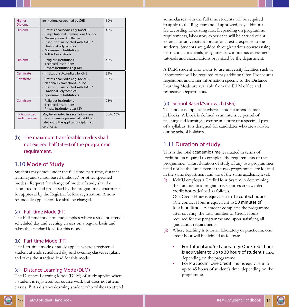<span id="page-10-0"></span>

| Higher<br>Diploma                                                                                                                                                          | Institutions Accredited by CHE                                                                                                                                                                                                         | 50%       |
|----------------------------------------------------------------------------------------------------------------------------------------------------------------------------|----------------------------------------------------------------------------------------------------------------------------------------------------------------------------------------------------------------------------------------|-----------|
| Diploma                                                                                                                                                                    | • Professional bodies e.g. KASNEB<br>• Kenya National Examinations Council,<br>• Nursing Council of Kenya<br>· Institutions associated with KMTC/<br><b>National Polytechnics</b><br>• Government Institutions<br>• AITEA Associations | 45%       |
| Diploma                                                                                                                                                                    | · Religious Institutions<br>• Technical Institutions<br>• Private Institutions e.g. KIM                                                                                                                                                | 40%       |
| Certificate                                                                                                                                                                | • Institutions Accredited by CHE                                                                                                                                                                                                       | 35%       |
| Certificate                                                                                                                                                                | • Professional Bodies e.g. KASNEB,<br>• National Examinations Council<br>. Institutions associated with KMTC/<br>National Polytechnics,<br>• Government Institutions                                                                   | 30%       |
| Certificate                                                                                                                                                                | • Religious institutions<br>• Technical Institutions<br>• Private Institutions e.g. KIM                                                                                                                                                | 25%       |
| Individualized<br>May be awarded in a scenario where<br>the Programme pursued at KeMU is not<br>credit transfers<br>relevant to the applicant's diploma or<br>certificate. |                                                                                                                                                                                                                                        | up to 50% |

#### (b) The maximum transferable credits shall not exceed half (50%) of the programme requirement.

#### 1.10 Mode of Study

Students may study under the full-time, part-time, distance learning and school based (holidays) or other specified modes. Request for change of mode of study shall be submitted to and processed by the programme department for approval by the Registrar before registration. A nonrefundable application fee shall be charged.

#### (a) Full-time Mode (FT)

The Full-time mode of study applies where a student attends scheduled day and evening classes on a regular basis and takes the standard load for this mode.

#### (b) Part-time Mode (PT)

The Part-time mode of study applies where a registered student attends scheduled day and evening classes regularly and takes the standard load for this mode.

#### (c) Distance Learning Mode (DLM)

The Distance Learning Mode (DLM) of study applies where a student is registered for course work but does not attend classes. But a distance-learning student who wishes to attend

some classes with the full time students will be required to apply to the Registrar and, if approved, pay additional fee according to existing rate. Depending on programme requirements, laboratory experience will be carried out at external or university laboratories at extra expense to the students. Students are guided through various courses using instructional materials, assignments, continuous assessment, tutorials and examinations organized by the department.

A DLM student who wants to use university facilities such as laboratories will be required to pay additional fee. Procedures, regulations and other information specific to the Distance Learning Mode are available from the DLM office and respective Departments.

#### (d) School Based/Sandwich (SBS)

This mode is applicable where a student attends classes in blocks. A block is defined as an intensive period of teaching and learning covering an entire or a specified part of a syllabus. It is designed for candidates who are available during school holidays.

#### 1.11 Duration of study

This is the total academic time, evaluated in terms of credit hours required to complete the requirements of the programme. Thus, duration of study of any two programmes need not be the same even if the two programmes are located in the same department and are of the same academic level.

KeMU employs a Credit Hour System in determining the duration in a programme. Courses are awarded credit hours defined as follows.

One Credit Hour is equivalent to 15 contact hours. One contact Hour is equivalent to 50 minutes of teaching time. A student completes the programme after covering the total number of Credit Hours required for the programme and upon satisfying all graduation requirements.

- (ii) Where teaching is tutorial, laboratory or practicum, one credit hour will be defined as follows:
	- For Tutorial and/or Laboratory: One Credit hour is equivalent to Up to 30 hours of student's time, depending on the programme.
	- For Practicum: One Credit hour is equivalent to up to 45 hours of student's time depending on the programme.

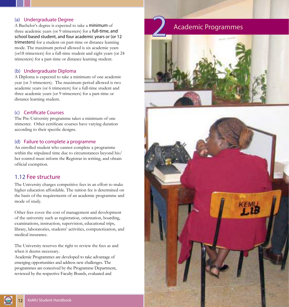#### <span id="page-11-0"></span>(a) Undergraduate Degree

A Bachelor's degree is expected to take a minimum of three academic years (or 9 trimesters) for a full-time, and school based student, and four academic years or (or 12 trimesters) for a student on part-time or distance learning mode. The maximum period allowed is six academic years (or18 trimesters) for a full-time student and eight years (or 24 trimesters) for a part-time or distance learning student.

#### (b) Undergraduate Diploma

A Diploma is expected to take a minimum of one academic year (or 3 trimesters). The maximum period allowed is two academic years (or 6 trimesters) for a full-time student and three academic years (or 9 trimesters) for a part-time or distance learning student.

#### (c) Certificate Courses

The Pre-University programme takes a minimum of one trimester. Other certificate courses have varying duration according to their specific designs.

#### (d) Failure to complete a programme

An enrolled student who cannot complete a programme within the stipulated time due to circumstances beyond his/ her control must inform the Registrar in writing, and obtain official exemption.

#### 1.12 Fee structure

The University charges competitive fees in an effort to make higher education affordable. The tuition fee is determined on the basis of the requirements of an academic programme and mode of study.

Other fees cover the cost of management and development of the university such as registration, orientation, boarding, examinations, instruction, supervision, educational trips, library, laboratories, students' activities, computerization, and medical insurance.

The University reserves the right to review the fees as and when it deems necessary.

Academic Programmes are developed to take advantage of emerging opportunities and address new challenges. The programmes are conceived by the Programme Department, reviewed by the respective Faculty Boards, evaluated and

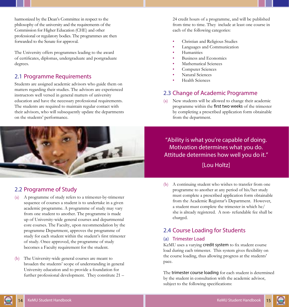<span id="page-12-0"></span>harmonized by the Dean's Committee in respect to the philosophy of the university and the requirements of the Commission for Higher Education (CHE) and other professional or regulatory bodies. The programmes are then forwarded to the Senate for approval.

The University offers programmes leading to the award of certificates, diplomas, undergraduate and postgraduate degrees.

# 2.1 Programme Requirements

Students are assigned academic advisors who guide them on matters regarding their studies. The advisors are experienced instructors well versed in general matters of university education and have the necessary professional requirements. The students are required to maintain regular contact with their advisors, who will subsequently update the departments on the students' performance.



# 2.2 Programme of Study

- (a) A programme of study refers to a trimester-by-trimester sequence of courses a student is to undertake in a given academic programme. A programme of study may vary from one student to another. The programme is made up of University-wide general courses and departmental core courses. The Faculty, upon recommendation by the programme Department, approves the programme of study for each student within the student's first trimester of study. Once approved, the programme of study becomes a Faculty requirement for the student.
- (b) The University-wide general courses are meant to broaden the students' scope of understanding in general University education and to provide a foundation for further professional development. They constitute 21 –

24 credit hours of a programme, and will be published from time to time. They include at least one course in each of the following categories:

- Christian and Religious Studies
- Languages and Communication
- **Humanities**
- Business and Economics
- Mathematical Sciences
- Computer Sciences
- Natural Sciences
- Health Sciences

# 2.3 Change of Academic Programme

(a) New students will be allowed to change their academic programme within the first two weeks of the trimester by completing a prescribed application form obtainable from the department.

"Ability is what you're capable of doing. Motivation determines what you do. Attitude determines how well you do it." [Lou Holtz]

(b) A continuing student who wishes to transfer from one programme to another at any period of his/her study must complete a prescribed application form obtainable from the Academic Registrar's Department. However, a student must complete the trimester in which he/ she is already registered. A non- refundable fee shall be charged.

# 2.4 Course Loading for Students

#### (a) Trimester Load

KeMU uses a varying credit system to fix student course load during each trimester. This system gives flexibility on the course loading, thus allowing progress at the students' pace.

The trimester course loading for each student is determined by the student in consultation with the academic advisor, subject to the following specifications:



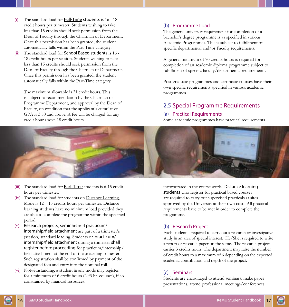- <span id="page-13-0"></span>(i) The standard load for Full-Time students is 16 - 18 credit hours per trimester. Students wishing to take less than 15 credits should seek permission from the Dean of Faculty through the Chairman of Department. Once this permission has been granted, the student automatically falls within the Part-Time category.
- (ii) The standard load for **School Based students** is 16 -18 credit hours per session. Students wishing to take less than 15 credits should seek permission from the Dean of Faculty through the Chairman of Department. Once this permission has been granted, the student automatically falls within the Part-Time category.

The maximum allowable is 21 credit hours. This is subject to recommendation by the Chairman of Programme Department, and approval by the Dean of Faculty, on condition that the applicant's cumulative GPA is 3.50 and above. A fee will be charged for any credit hour above 18 credit hours.

#### (b) Programme Load

The general university requirement for completion of a bachelor's degree programme is as specified in various Academic Programmes. This is subject to fulfillment of specific departmental and/or Faculty requirements.

A general minimum of 70 credits hours is required for completion of an academic diploma programme subject to fulfillment of specific faculty/departmental requirements.

Post-graduate programmes and certificate courses have their own specific requirements specified in various academic programmes.

# 2.5 Special Programme Requirements

#### (a) Practical Requirements

Some academic programmes have practical requirements



- (iii) The standard load for **Part-Time** students is 6-15 credit hours per trimester.
- (iv) The standard load for students on Distance Learning Mode is 12 – 15 credits hours per trimester. Distance learning students have no minimum load provided they are able to complete the programme within the specified period.
- (v) Research projects, seminars and practicum/ internship/field attachment are part of a trimester's (session) standard loading. Students on practicum/ internship/field attachment during a trimester shall register before proceeding for practicum/internship/ field attachment at the end of the preceding trimester. Such registration shall be confirmed by payment of the designated fees and entry into the nominal roll.
- (vi) Notwithstanding, a student in any mode may register for a minimum of 6 credit hours (2 \*3 hr. courses), if so constrained by financial resources.

incorporated in the course work. Distance learning students who register for practical based courses are required to carry out supervised practicals at sites approved by the University at their own cost. All practical requirements have to be met in order to complete the programme.

#### (b) Research Project

Each student is required to carry out a research or investigative study in an area of special interest. He/She is required to write a report or research paper on the same. The research project carries 3 credits hours. The department may raise the number of credit hours to a maximum of 6 depending on the expected academic contribution and depth of the project.

#### (c) Seminars

Students are encouraged to attend seminars, make paper presentations, attend professional meetings/conferences

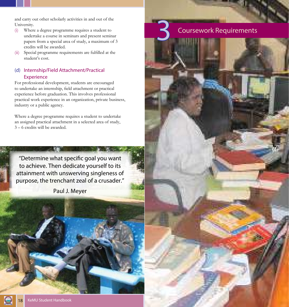<span id="page-14-0"></span>and carry out other scholarly activities in and out of the University.

(i) Where a degree programme requires a student to undertake a course in seminars and present seminar papers from a special area of study, a maximum of 3 credits will be awarded.

**Coursework Requirements** 

(ii) Special programme requirements are fulfilled at the student's cost.

#### (d) Internship/Field Attachment/Practical Experience

For professional development, students are encouraged to undertake an internship, field attachment or practical experience before graduation. This involves professional practical work experience in an organization, private business, industry or a public agency.

Where a degree programme requires a student to undertake an assigned practical attachment in a selected area of study, 3 – 6 credits will be awarded.

"Determine what specific goal you want to achieve. Then dedicate yourself to its attainment with unswerving singleness of purpose, the trenchant zeal of a crusader."

Paul J. Meyer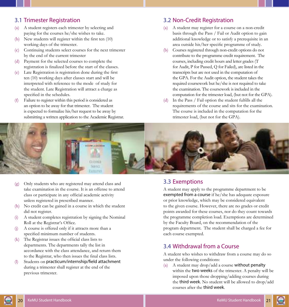#### <span id="page-15-0"></span>3.1 Trimester Registration

- (a) A student registers each trimester by selecting and paying for the courses he/she wishes to take.
- (b) New students will register within the first ten (10) working days of the trimester.
- (c) Continuing students select courses for the next trimester by the end of the current trimester
- (d) Payment for the selected courses to complete the registration is finalized before the start of the classes.
- (e) Late Registration is registration done during the first ten (10) working days after classes start and will be interpreted with reference to the mode of study for the student. Late Registration will attract a charge as specified in the schedules.
- (f) Failure to register within this period is considered as an option to be away for that trimester. The student is expected to formalize his/her request to be away by submitting a written application to the Academic Registrar.

#### 3.2 Non-Credit Registration

- (a) A student may register for a course on a non-credit basis through the Pass / Fail or Audit option to gain additional knowledge or to satisfy a prerequisite in an area outside his/her specific programme of study.
- (b) Courses registered through non-credit options do not contribute to the programme credit requirement. The courses, including credit hours and letter grades (T for Audit, P for Passed, Q for Failed), are listed in the transcripts but are not used in the computation of the GPA. For the Audit option, the student takes the required coursework but he/she is not required to take the examination. The coursework is included in the computation for the trimester load, (but not for the GPA).
- (d) In the Pass / Fail option the student fulfills all the requirements of the course and sits for the examination. The course is included in the computation for the trimester load, (but not for the GPA).



- (g) Only students who are registered may attend class and take examination in the course. It is an offense to attend class or participate in any official academic activity unless registered in prescribed manner.
- (h) No credit can be gained in a course in which the student did not register.
- (i) A student completes registration by signing the Nominal Roll at the Registrar's Office.
- (j) A course is offered only if it attracts more than a specified minimum number of students.
- (k) The Registrar issues the official class lists to departments. The departments tally the list in accordance with the class attendance, and return them to the Registrar, who then issues the final class lists.
- (l) Students on practicum/internship/field attachment during a trimester shall register at the end of the previous trimester.

#### 3.3 Exemptions

A student may apply to the programme department to be exempted from a course if he/she has adequate exposure or prior knowledge, which may be considered equivalent to the given course. However, there are no grades or credit points awarded for these courses, nor do they count towards the programme completion load. Exemptions are determined by the Faculty Board, on the recommendation of the program department. The student shall be charged a fee for each course exempted.

#### 3.4 Withdrawal from a Course

A student who wishes to withdraw from a course may do so under the following conditions:

(a) A student may drop/add a course without penalty within the **two weeks** of the trimester. A penalty will be imposed upon those dropping/adding courses during the third week. No student will be allowed to drop/add courses after the third week.



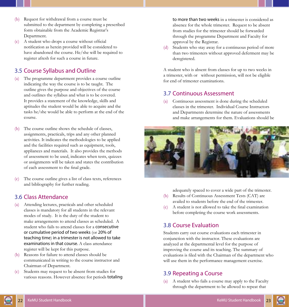- <span id="page-16-0"></span>(b) Request for withdrawal from a course must be submitted to the department by completing a prescribed form obtainable from the Academic Registrar's Department.
- (c) A student who drops a course without official notification as herein provided will be considered to have abandoned the course. He/she will be required to register afresh for such a course in future.

# 3.5 Course Syllabus and Outline

- The programme department provides a course outline indicating the way the course is to be taught. The outline gives the purpose and objectives of the course and outlines the syllabus and what is to be covered. It provides a statement of the knowledge, skills and aptitudes the student would be able to acquire and the tasks he/she would be able to perform at the end of the course.
- (b) The course outline shows the schedule of classes, assignments, practicals, trips and any other planned activities. It indicates the methodologies to be applied and the facilities required such as equipment, tools, appliances and materials. It also provides the methods of assessment to be used, indicates when tests, quizzes or assignments will be taken and states the contribution of each assessment to the final grade.
- (c) The course outline gives a list of class texts, references and bibliography for further reading.

#### 3.6 Class Attendance

- (a) Attending lectures, practicals and other scheduled classes is mandatory for all students in the relevant modes of study. It is the duty of the student to make arrangements to attend classes as scheduled. A student who fails to attend classes for a consecutive or cumulative period of two weeks (or 20% of teaching time) in a trimester is not allowed to take examinations in that course. A class attendance register will be kept for this purpose.
- (b) Reasons for failure to attend classes should be communicated in writing to the course instructor and Chairman of Department.
- (c) Students may request to be absent from studies for various reasons. However absence for periods totaling

to more than two weeks in a trimester is considered as absence for the whole trimester. Request to be absent from studies for the trimester should be forwarded through the programme Department and Faculty for approval by the Registrar.

(d) Students who stay away for a continuous period of more than two trimesters without approved deferment may be deregistered.

A student who is absent from classes for up to two weeks in a trimester, with or without permission, will not be eligible for end of trimester examinations.

#### 3.7 Continuous Assessment

(a) Continuous assessment is done during the scheduled classes in the trimester. Individual Course Instructors and Departments determine the nature of assessments and make arrangements for them. Evaluations should be



adequately spaced to cover a wide part of the trimester.

- (b) Results of Continuous Assessment Tests (CAT) are availed to students before the end of the trimester.
- (c) A student is not allowed to take the final examination before completing the course work assessments.

#### 3.8 Course Evaluation

Students carry out course evaluations each trimester in conjunction with the instructor. These evaluations are analyzed at the departmental level for the purpose of improving the course and its teaching. The summary of evaluations is filed with the Chairman of the department who will use them in the performance management exercise.

#### 3.9 Repeating a Course

(a) A student who fails a course may apply to the Faculty through the department to be allowed to repeat that

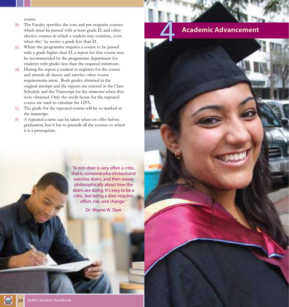course.

- <span id="page-17-0"></span>(b) The Faculty specifies the core and pre-requisite courses which must be passed with at least grade D, and other elective courses in which a student may continue, even when she/ he scores a grade less than D.
- (c) Where the programme requires a course to be passed with a grade higher than D, a repeat for that course may be recommended by the programme department for students with grades less than the required minimum.
- (d) During the repeat a student re-registers for the course and attends all classes and satisfies other course requirements anew. Both grades obtained in the original attempt and the repeats are entered in the Class Schedule and the Transcript for the trimester when they were obtained. Only the credit hours for the repeated course are used to calculate the GPA.
- (e) The grade for the repeated course will be so marked in the transcript.
- (f) A repeated course can be taken when on offer before graduation, but it has to precede all the courses to which it is a prerequisite.

"A non-doer is very often a critic, that is, someone who sits back and watches doers, and then waxes philosophically about how the doers are doing. It's easy to be a critic, but being a doer requires effort, risk, and change."

Dr. Wayne W. Dyer

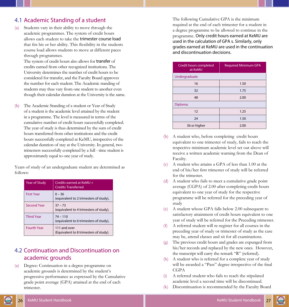#### <span id="page-18-0"></span>4.1 Academic Standing of a student

(a) Students vary in their ability to move through the academic programmes. The system of credit hours allows each student to take the trimester course load that fits his or her ability. This flexibility in the students course load allows students to move at different paces through programmes.

The system of credit hours also allows for transfer of credits earned from other recognized institutions. The University determines the number of credit hours to be considered for transfer, and the Faculty Board approves the number for each student. The Academic standing of students may thus vary from one student to another even though their calendar duration at the University is the same.

(b) The Academic Standing of a student or Year of Study of a student is the academic level attained by the student in a programme. The level is measured in terms of the cumulative number of credit hours successfully completed. The year of study is thus determined by the sum of credit hours transferred from other institutions and the credit hours successfully completed at KeMU, irrespective of the calendar duration of stay at the University. In general, two trimesters successfully completed by a full - time student is approximately equal to one year of study.

Years of study of an undergraduate student are determined as follows:

| <b>Year of Study</b> | Credits earned at KeMU +<br><b>Credits Transferred</b> |
|----------------------|--------------------------------------------------------|
| <b>First Year</b>    | $0 - 36$<br>(equivalent to 2 trimesters of study),     |
| <b>Second Year</b>   | $37 - 73$<br>(equivalent to 4 trimesters of study),    |
| <b>Third Year</b>    | $74 - 110$<br>(equivalent to 6 trimesters of study),   |
| <b>Fourth Year</b>   | 111 and over<br>(Equivalent to 8 trimesters of study). |

#### 4.2 Continuation and Discontinuation on academic grounds

(a) Degree: Continuation in a degree programme on academic grounds is determined by the student's progressive performance as expressed by the Cumulative grade point average (GPA) attained at the end of each trimester.

The following Cumulative GPA is the minimum required at the end of each trimester for a student in a degree programme to be allowed to continue in the programme. Only credit hours earned at KeMU are used in the calculation of GPA s. Similarly, only grades earned at KeMU are used in the continuation and discontinuation decisions.

| Credit hours completed<br>at KeMU | <b>Required Minimum GPA</b> |
|-----------------------------------|-----------------------------|
| Undergraduate                     |                             |
| 16                                | 1.50                        |
| 32                                | 1.75                        |
| 48                                | 2.00                        |
| Diploma:                          |                             |
| 12                                | 1.25                        |
| 24                                | 1.50                        |
| 36 or higher                      | 2.00                        |

- (b) A student who, before completing credit hours equivalent to one trimester of study, fails to reach the respective minimum academic level set out above will receive a written academic warning from the Dean of Faculty.
- (c) A student who attains a GPA of less than 1.00 at the end of his/her first trimester of study will be referred for the trimester.
- (d) A student who fails to meet a cumulative grade point average (CGPA) of 2.00 after completing credit hours equivalent to one year of study for the respective programme will be referred for the preceding year of study
- (e) A student whose GPA falls below 2.00 subsequent to satisfactory attainment of credit hours equivalent to one year of study will be referred for the Preceding trimester.
- (f) A referred student will re-register for all courses in the preceding year of study or trimester of study as the case may be, attend classes and sit for all examinations.
- (g) The previous credit hours and grades are expunged from his/her records and replaced by the new ones. However, the transcript will carry the remark "R" (referred).
- (h) A student who is referred for a complete year of study will be awarded a "Pass" degree irrespective of the final CGPA
- (i) A referred student who fails to reach the stipulated academic level a second time will be discontinued.
- (k) Discontinuation is recommended by the Faculty Board

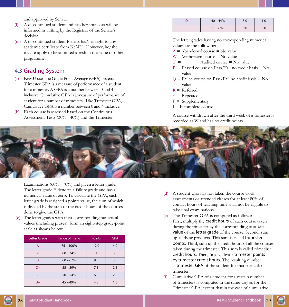and approved by Senate.

- <span id="page-19-0"></span>(l) A discontinued student and his/her sponsors will be informed in writing by the Registrar of the Senate's decision
- (m) A discontinued student forfeits his/her right to any academic certificate from KeMU. However, he/she may re-apply to be admitted afresh in the same or other programme.

#### 4.3 Grading System

- (a) KeMU uses the Grade Point Average (GPA) system. Trimester GPA is a measure of performance of a student for a trimester. A GPA is a number between 0 and 4 inclusive. Cumulative GPA is a measure of performance of student for a number of trimesters. Like Trimester GPA, Cumulative GPA is a number between 0 and 4 inclusive.
- (b) Each course is assessed based on the Continuous Assessment Tests (30% - 40%) and the Trimester

| $40 - 44%$ | 3.0 | 1.0 |
|------------|-----|-----|
| $0 - 39%$  | 0.0 | 0.0 |

The letter grades having no corresponding numerical values are the following:

- $A = Abandoned course = No value$
- $W = W$ ithdrawn course  $= N_0$  value
- $T =$  Audited course = No value
- $P =$  Passed course on Pass/Fail no credit basis  $=$  No value
- $Q =$  Failed course on Pass/Fail no credit basis  $=$  No value
- $R = Referred$
- $r =$  Repeated
- $F =$  Supplementary
- $I = Incomplete course$

A course withdrawn after the third week of a trimester is recorded as W and has no credit points.



Examinations (60% - 70%) and given a letter grade. The letter grade E denotes a failure grade and has a numerical value of zero. To calculate the GPA, each letter grade is assigned a points value, the sum of which is divided by the sum of the credit hours of the courses done to give the GPA.

(c) The letter grades with their corresponding numerical values (including pluses), form an eight-step grade-point scale as shown below:

| Letter Grade | Range of marks | <b>Points</b> | <b>GPA</b> |
|--------------|----------------|---------------|------------|
| A            | $75 - 100%$    | 12.0          | 4.0        |
| $B+$         | $68 - 74%$     | 10.5          | 3.5        |
| B            | $60 - 67%$     | 9.0           | 3.0        |
| $C+$         | $55 - 59%$     | 7.5           | 2.5        |
| C            | $50 - 54%$     | 6.0           | 2.0        |
| $D+$         | $45 - 49%$     | 4.5           | 1.5        |

- (d) A student who has not taken the course work assessments or attended classes for at least 80% of contact hours of teaching time shall not be eligible to take final examinations.
- (e) The Trimester GPA is computed as follows: First, multiply the credit hours of each course taken during the trimester by the corresponding number value of the letter grade of the course. Second, sum up all these products. This sum is called trimester points. Third, sum up the credit hours of all the courses taken during the trimester. This sum is called trimester credit hours. Then, finally, divide trimester points by trimester credit hours. The resulting number is trimester GPA of the student for that particular trimester.
- (f) Cumulative GPA of a student for a certain number of trimesters is computed in the same way as for the Trimester GPA, except that in the case of cumulative



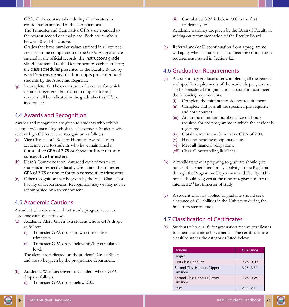<span id="page-20-0"></span>GPA, all the courses taken during all trimesters in consideration are used in the computations. The Trimester and Cumulative GPA's are rounded to the nearest second decimal place. Both are numbers between 0 and 4 inclusive.

Grades that have number values attained in all courses are used in the computation of the GPA. All grades are entered in the official records: the instructor's grade sheets presented to the Department by each instructor; the class schedules presented to the Faculty Board by each Department; and the transcripts presented to the students by the Academic Registrar.

(g) Incomplete (I): The exam result of a course for which a student registered but did not complete for any reason shall be indicated in the grade sheet as "I", i.e incomplete.

#### 4.4 Awards and Recognition

Awards and recognition are given to students who exhibit exemplary/outstanding scholarly achievement. Students who achieve high GPAs receive recognition as follows:

- (a) Vice Chancellor's Role of Honour: Awarded each academic year to students who have maintained a Cumulative GPA of 3.75 or above for three or more consecutive trimesters.
- (b) Dean's Commendation: Awarded each trimester to students in respective faculty who attain the trimester GPA of 3.75 or above for two consecutive trimesters.
- (c) Other recognition may be given by the Vice-Chancellor, Faculty or Departments. Recognition may or may not be accompanied by a token/present.

#### 4.5 Academic Cautions

A student who does not exhibit steady progress receives academic caution as follows:

- (a) Academic Alert: Given to a student whose GPA drops as follows:
	- (i) Trimester GPA drops in two consecutive trimesters.
	- (ii) Trimester GPA drops below his/her cumulative level.

The alerts are indicated on the student's Grade Sheet and are to be given by the programme department.

- (b) Academic Warning: Given to a student whose GPA drops as follows:
	- (i) Trimester GPA drops below 2.00.

(ii) Cumulative GPA is below 2.00 in the first academic year.

Academic warnings are given by the Dean of Faculty in writing on recommendation of the Faculty Board.

(c) Referral and/or Discontinuation from a programme will apply when a student fails to meet the continuation requirements stated in Section 4.2.

# 4.6 Graduation Requirements

- (a) A student may graduate after completing all the general and specific requirements of the academic programme. To be considered for graduation, a student must meet the following requirements:
	- (i) Complete the minimum residence requirement.
	- (ii) Complete and pass all the specified pre-requisite and core courses.
	- (iii) Attain the minimum number of credit hours required for the programme in which the student is registered.
	- (iv) Obtain a minimum Cumulative GPA of 2.00.
	- (v) Have no pending disciplinary case.
	- (vi) Meet all financial obligations.
	- (vii) Clear all outstanding liabilities.
- (b) A candidate who is preparing to graduate should give notice of his/her intention by applying to the Registrar through the Programme Department and Faculty. This notice should be given at the time of registration for the intended 2nd last trimester of study.
- (c) A student who has applied to graduate should seek clearance of all liabilities in the University during the final trimester of study.

# 4.7 Classification of Certificates

(a) Students who qualify for graduation receive certificates for their academic achievements. The certificates are classified under the categories listed below:

| <b>Honours</b>                           | <b>GPA</b> range |
|------------------------------------------|------------------|
| Degree                                   |                  |
| <b>First Class Honours:</b>              | $3.75 - 4.00$ .  |
| Second Class Honours (Upper<br>Division) | $3.25 - 3.74$    |
| Second Class Honours (Lower<br>Division) | $2.75 - 3.24$    |
| Pass:                                    | $2.00 - 2.74$ .  |

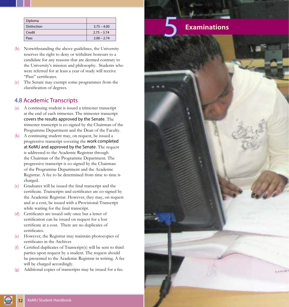<span id="page-21-0"></span>

| Diploma     |               |
|-------------|---------------|
| Distinction | $3.75 - 4.00$ |
| Credit      | $2.75 - 3.74$ |
| Pass        | $2.00 - 2.74$ |

- (b) Notwithstanding the above guidelines, the University reserves the right to deny or withdraw honours to a candidate for any reasons that are deemed contrary to the University's mission and philosophy. Students who were referred for at least a year of study will receive "Pass" certificates.
- (c) The Senate may exempt some programmes from the classification of degrees.

# 4.8 Academic Transcripts

- (a) A continuing student is issued a trimester transcript at the end of each trimester. The trimester transcript covers the results approved by the Senate. The trimester transcript is co-signed by the Chairman of the Programme Department and the Dean of the Faculty.
- (b) A continuing student may, on request, be issued a progressive transcript covering the work completed at KeMU and approved by the Senate. The request is addressed to the Academic Registrar through the Chairman of the Programme Department. The progressive transcript is co-signed by the Chairman of the Programme Department and the Academic Registrar. A fee to be determined from time to time is charged.
- (c) Graduates will be issued the final transcript and the certificate. Transcripts and certificates are co-signed by the Academic Registrar. However, they may, on request and at a cost, be issued with a Provisional Transcript while waiting for the final transcript.
- (d) Certificates are issued only once but a letter of certification can be issued on request for a lost certificate at a cost. There are no duplicates of certificates.
- However, the Registrar may maintain photocopies of certificates in the Archives
- (f) Certified duplicates of Transcript(s) will be sent to third parties upon request by a student. The request should be presented to the Academic Registrar in writing. A fee will be charged accordingly.
- Additional copies of transcripts may be issued for a fee.

# 5 **Examinations**

Charles M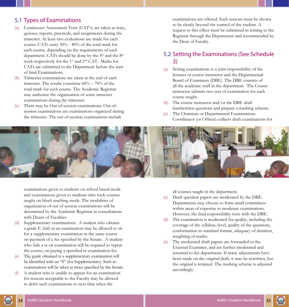# <span id="page-22-0"></span>5.1 Types of Examinations

- (a) Continuous Assessment Tests (CAT's) are taken as tests, quizzes, reports, practicals, and assignments during the trimester. At least two evaluations are made for each course. CATs carry 30% - 40% of the total mark for each course, depending on the requirements of each department. CATs should be done by the 4<sup>th</sup> and the 8<sup>th</sup> week respectively for the 1st and 2nd CAT. Marks for CATs are submitted to the Department before the start of final Examinations.
- (b) Trimester examinations are taken at the end of each trimester. The results constitute 60% – 70% of the total mark for each course. The Academic Registrar may authorize the organization of some trimester examinations during the trimester.
- (c) There may be Out-of-session examinations. Out-ofsession examinations are examinations organized during the trimester. The out-of-session examinations include

examinations are offered. Such reasons must be shown to be clearly beyond the control of the student. A request to this effect must be submitted in writing to the Registrar through the Department and recommended by the Dean of Faculty.

#### 5.2 Setting the Examinations (See Schedule 3)

- (a) Setting examinations is a joint responsibility of the lecturer or course instructor and the Departmental Board of Examiners (DBE). The DBE consists of all the academic staff in the department. The Course instructor submits two sets of examination for each course taught.
- (b) The course instructor and/or the DBE draft handwritten questions and prepare a marking scheme.
- (c) The Chairman or Departmental Examinations Coordinator (or Officer) collects draft examinations for



examinations given to students on school based mode and examinations given to students who took courses taught on block teaching mode. The modalities of organization of out of session examinations will be determined by the Academic Registrar in consultations with Deans of Faculties.

- Supplementary examinations: A student who obtains a grade E (fail) in an examination may be allowed to sit for a supplementary examination in the same course on payment of a fee specified by the Senate. A student who fails a re-sit examination will be required to repeat the course, on paying a specified re-examination fee.
- (e) The grade obtained in a supplementary examination will be identified with an "S" (for Supplementary). Such reexaminations will be taken at times specified by the Senate.
- (f) A student who is unable to appear for an examination for reasons acceptable to the Faculty may be allowed to defer such examinations to next time when the

all courses taught in the department.

- (c) Draft question papers are moderated by the DBE. Departments may choose to form small committees within areas of expertise to moderate examinations. However, the final responsibility rests with the DBE.
- (d) The examination is moderated for quality, including the coverage of the syllabus, level, quality of the questions, conformation to standard format, adequacy of duration, weighting of marks.
- (e) The moderated draft papers are forwarded to the External Examiner, and are further moderated and returned to the department. If many adjustments have been made on the original draft, it may be rewritten, but the original is retained. The marking scheme is adjusted accordingly.

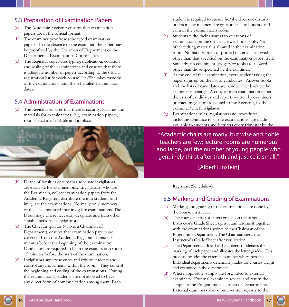## <span id="page-23-0"></span>5.3 Preparation of Examination Papers

- (a) The Academic Registrar ensures that examination papers are in the official format.
- (b) The examiner proofreads the typed examination papers. In the absence of the examiner, the paper may be proofread by the Chairman of Department or the Departmental Examinations Coordinator.
- (c) The Registrar supervises typing, duplication, collation and sealing of the examinations and ensures that there is adequate number of papers according to the official registration list for each course. He/She takes custody of the examinations until the scheduled Examination dates.

#### 5.4 Administration of Examinations

(a) The Registrar ensures that there is security, facilities and materials for examinations, (e.g. examination papers, rooms, etc.) are available and in place.



- (b) Deans of faculties ensure that adequate invigilators are available for examinations. Invigilators, who are the Examiners, collect examination papers from the Academic Registrar, distribute them to students and invigilate the examinations. Normally only members of the academic staff may invigilate examinations. The Dean, may, where necessary designate and train other suitable persons as invigilators.
- (c) The Chief Invigilator (who is a Chairman of Department), ensures that examination papers are collected from the Academic Registrar at least 30 minutes before the beginning of the examination. Candidates are required to be in the examination room 15 minutes before the start of the examination.
- (d) Invigilators supervise entry and exit of students and control any movements within the room. They control the beginning and ending of the examinations. During the examinations, students are not allowed to have any direct form of communication among them. Each

student is required to ensure he/she does not disturb others in any manner. Invigilators ensure honesty and calm in the examinations room.

- (e) Students write their answers to questions of examinations on the official answer books only. No other writing material is allowed in the examination room. No hand-written or printed material is allowed other than that specified on the examination paper itself. Similarly, no equipment, gadgets or tools are allowed other than those specified by the examiner.
- (f) At the end of the examination, every student taking the paper signs up on the list of candidates. Answer books and the lists of candidates are handed over back to the examiner in charge. A copy of each examination paper, the lists of candidates and reports written by examiners or chief invigilator are passed to the Registrar, by the examiner/chief invigilator.
- (g) Examinations rules, regulations and procedures, including clearance to sit the examinations, are made available to students and lecturers every trimester by the

"Academic chairs are many, but wise and noble teachers are few; lecture-rooms are numerous and large, but the number of young people who genuinely thirst after truth and justice is small."

#### [Albert Einstein]

Registrar, (Schedule 4).

#### 5.5 Marking and Grading of Examinations

- (a) Marking and grading of the examinations are done by the course instructor.
- (b) The course instructor enters grades on the official Instructor's Grade Sheet, signs it and returns it together with the examinations scripts to the Chairman of the Programme Department. The Chairman signs the Instructor's Grade Sheet after verification.
- (c) The Departmental Board of Examiners moderates the marking of each paper and allocates the letter grades. This process includes the external examiner where possible. Individual departments determine grades for courses taught and examined in the department.
- (d) Where applicable, scripts are forwarded to external examiners. External examiners review and return the scripts to the Programme Chairmen of Departments. External examiners also submit written reports to the

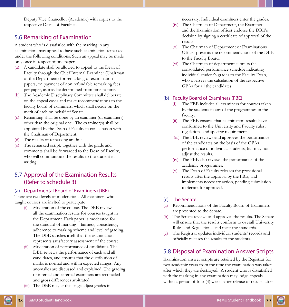<span id="page-24-0"></span>Deputy Vice Chancellor (Academic) with copies to the respective Deans of Faculties.

#### 5.6 Remarking of Examination

A student who is dissatisfied with the marking in any examination, may appeal to have such examination remarked under the following conditions. Such an appeal may be made only once in respect of one paper.

- (a) A candidate shall be allowed to appeal to the Dean of Faculty through the Chief Internal Examiner (Chairman of the Department) for remarking of examination papers, on payment of non refundable remarking fees per paper, as may be determined from time to time.
- (b) The Academic Disciplinary Committee shall deliberate on the appeal cases and make recommendations to the faculty board of examiners, which shall decide on the merit of each on behalf of Senate.
- (c) Remarking shall be done by an examiner (or examiners) other than the original one. The examiner(s) shall be appointed by the Dean of Faculty in consultation with the Chairman of Department.
- (d) The results of remarking are final.
- The remarked script, together with the grade and comments shall be forwarded to the Dean of Faculty, who will communicate the results to the student in writing.

# 5.7 Approval of the Examination Results (Refer to schedule 3)

#### (a) Departmental Board of Examiners (DBE)

There are two levels of moderation. All examiners who taught courses are invited to participate

- (i) Moderation of the course. The DBE reviews all the examination results for courses taught in the Department. Each paper is moderated for the standard of marking – fairness, consistency, adherence to marking scheme and level of grading. The DBE satisfies itself that the examination represents satisfactory assessment of the course.
- (ii) Moderation of performance of candidates. The DBE reviews the performance of each and all candidates, and ensures that the distribution of marks is normal and within expected ranges. Any anomalies are discussed and explained. The grading of internal and external examiners are reconciled and gross differences arbitrated.
- (iii) The DBE may at this stage adjust grades if

necessary. Individual examiners enter the grades.

- (iv) The Chairman of Department, the Examiner and the Examination officer endorse the DBE's decision by signing a certificate of approval of the results.
- (v) The Chairman of Department or Examinations Officer presents the recommendations of the DBE to the Faculty Board.
- (vi) The Chairman of department submits the consolidated performance schedule indicating individual student's grades to the Faculty Dean, who oversees the calculation of the respective GPAs for all the candidates.

#### (b) Faculty Board of Examiners (FBE)

- The FBE includes all examiners for courses taken by the students in any of the programmes in the faculty.
- (ii) The FBE ensures that examination results have conformed to the University and Faculty rules, regulations and specific requirements.
- (iii) The FBE reviews and approves the performance of the candidates on the basis of the GPAs performance of individual students, but may not adjust the results.
- (iv) The FBE also reviews the performance of the academic programmes.
- (v) The Dean of Faculty releases the provisional results after the approval by the FBE, and implements necessary action, pending submission to Senate for approval.

#### (c) The Senate

- (a) Recommendations of the Faculty Board of Examiners are presented to the Senate.
- (b) The Senate reviews and approves the results. The Senate will ensure that the results conform to overall University Rules and Regulations, and meet the standards.
- (c) The Registrar updates individual students' records and officially releases the results to the students.

## 5.8 Disposal of Examination Answer Scripts

Examination answer scripts are retained by the Registrar for two academic years from the time the examination was taken after which they are destroyed. A student who is dissatisfied with the marking in any examination may lodge appeals within a period of four (4) weeks after release of results, after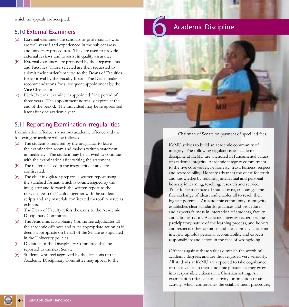<span id="page-25-0"></span>which no appeals are accepted.

#### 5.10 External Examiners

- (a) External examiners are scholars or professionals who are well versed and experienced in the subject areas and university procedures. They are used to provide external reviews and to assist in quality assurance.
- (b) External examiners are proposed by the Departments and Faculties. Those selected are then requested to submit their curriculum vitae to the Deans of Faculties for approval by the Faculty Board. The Deans make recommendations for subsequent appointment by the Vice Chancellor.
- (c) Each External examiner is appointed for a period of three years. The appointment normally expires at the end of the period. The individual may be re-appointed later after one academic year.

## 5.11 Reporting Examination Irregularities

Examination offence is a serious academic offence and the following procedure will be followed:

- (a) The student is required by the invigilator to leave the examination room and make a written statement immediately. The student may be allowed to continue with the examination after writing the statement.
- (b) The materials used in the irregularity, if any, are confiscated.
- (c) The chief invigilator prepares a written report using the standard format, which is countersigned by the invigilator and forwards the written report to the relevant Dean of Faculty together with the student's scripts and any materials confiscated thereof to serve as exhibits.
- (d) The Dean of Faculty refers the cases to the Academic Disciplinary Committee.
- (e) The Academic Disciplinary Committee adjudicates all the academic offences and takes appropriate action as it deems appropriate on behalf of the Senate as stipulated in the University policies.
- (f) Decisions of the Disciplinary Committee shall be reported to the next Senate.
- Students who feel aggrieved by the decisions of the Academic Disciplinary Committee may appeal to the

# 6 Academic Discipline



Chairman of Senate on payment of specified fees.

KeMU strives to build an academic community of integrity. The following regulations on academic discipline at KeMU are anchored in fundamental values of academic integrity. Academic integrity commitment to the five core values, i.e honesty, trust, fairness, respect and responsibility. Honesty advances the quest for truth and knowledge by requiring intellectual and personal honesty in learning, teaching, research and service. Trust foster a climate of mutual trust, encourages the free exchange of ideas, and enables all to reach their highest potential. An academic community of integrity establishes clear standards, practices and procedures and expects fairness in interaction of students, faculty and administrators. Academic integrity recognizes the participatory nature of the learning process, and honors and respects other opinions and ideas. Finally, academic integrity upholds personal accountability and expects responsibility and action in the face of wrongdoing.

Offenses against these values diminish the worth of academic degrees; and are thus regarded very seriously. All students at KeMU are expected to take cognizance of these values in their academic pursuits as they grow into responsible citizens in a Christian setting. An examination offense is an activity, or omission of an activity, which contravenes the establishment procedure,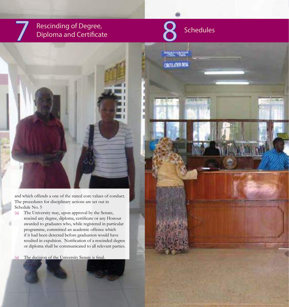# <span id="page-26-0"></span>Rescinding of Degree,<br>Diploma and Certificate



**BOTT ATRON DESER** 

# Schedules



and which offends a one of the stated core values of conduct. The procedures for disciplinary actions are set out in Schedule No. 5

(a) The University may, upon approval by the Senate, rescind any degree, diploma, certificate or any Honour awarded to graduates who, while registered in particular programme, committed an academic offence which if it had been detected before graduation would have resulted in expulsion. Notification of a rescinded degree or diploma shall be communicated to all relevant parties.

42 KeMU Student Handbook KeMU Student Handbook 43

(a) The decision of the University Senate is final.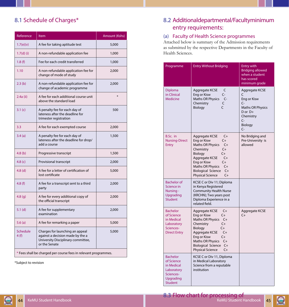# <span id="page-27-0"></span>8.1 Schedule of Charges\*

| Reference               | Item                                                                                                                       | Amount (Kshs) |
|-------------------------|----------------------------------------------------------------------------------------------------------------------------|---------------|
| 1.7(e)(v)               | A fee for taking aptitude test                                                                                             | 5,000         |
| $1.7(d)$ (i)            | A non-refundable application fee                                                                                           | 1,000         |
| 1.8(f)                  | Fee for each credit transferred                                                                                            | 1,000         |
| 1.10                    | A non-refundable application fee for<br>change of mode of study                                                            | 2,000         |
| 2.3(b)                  | A non-refundable application fee for<br>change of academic programme                                                       | 2,000         |
| 2.4a (ii)               | A fee for each additional course unit<br>above the standard load                                                           | $\ast$        |
| 3.1(c)                  | A penalty fee for each day of<br>lateness after the deadline for<br>trimester registration                                 | 500           |
| 3.3                     | A fee for each exempted course                                                                                             | 2,000         |
| 3.4(a)                  | A penalty fee for each day of<br>lateness after the deadline for drop/<br>add a course                                     | 1,500         |
| 4.8 <sub>(b)</sub>      | Progressive transcript                                                                                                     | 1,500         |
| 4.8 $(c)$               | Provisional transcript                                                                                                     | 2,000         |
| $4.8$ (d)               | A fee for a letter of certification of<br>lost certificate                                                                 | 5,000         |
| 4.8(f)                  | A fee for a transcript sent to a third<br>party                                                                            | 2,000         |
| 4.8 <sub>(q)</sub>      | A fee for every additional copy of<br>the official transcript                                                              | 2,000         |
| $5.1$ (d)               | A fee for supplementary<br>examination                                                                                     | 2,000         |
| 5.6(a)                  | A fee for remarking a paper                                                                                                | 5,000         |
| <b>Schedule</b><br>4(f) | Charges for launching an appeal<br>against a decision made by the a<br>University Disciplinary committee,<br>or the Senate | 5,000         |
|                         | * Fees shall be charged per course fees in relevant programmes.                                                            |               |

\*Subject to revision

# 8.2 Additional departmental/Faculty minimum entry requirements:

#### (a) Faculty of Health Science programmes

Attached below is summary of the Admission requirements as submitted by the respective Departments in the Faculty of Health Sciences.

| Programme                                                                                             | <b>Entry Without Bridging</b>                                                                                                                                                                                                                                           | <b>Entry with</b><br><b>Bridging allowed</b><br>when a student<br>has scored<br>minimum grade                         |
|-------------------------------------------------------------------------------------------------------|-------------------------------------------------------------------------------------------------------------------------------------------------------------------------------------------------------------------------------------------------------------------------|-----------------------------------------------------------------------------------------------------------------------|
| Diploma<br>in Clinical<br><b>Medicine</b>                                                             | Aggregate KCSE<br>C<br>Eng or Kisw<br>C-<br>Maths OR Physics<br>$C-$<br>C<br>Chemistry<br>C<br>Biology                                                                                                                                                                  | Aggregate KCSE<br>C<br>Eng or Kisw<br>C-<br><b>Maths OR Physics</b><br>D or D+<br>Chemistry<br>C-<br>Biology<br>$C -$ |
| B.Sc. in<br><b>Nursing-Direct</b><br>Entry                                                            | Aggregate KCSE<br>$C+$<br>$C +$<br>Eng or Kisw<br>Maths OR Physics<br>$C+$<br>Chemistry<br>$C+$<br>$C+$<br>Biology<br>Aggregate KCSE<br>$C+$<br>Eng or Kisw<br>$C+$<br>Maths OR Physics<br>$C+$<br><b>Biological Science</b><br>$C+$<br><b>Physical Science</b><br>$C+$ | No Bridging and<br>Pre-University is<br>allowed                                                                       |
| <b>Bachelor</b> of<br>Science in<br>Nursing -<br>Upgrading<br><b>Student</b>                          | KCSE C or Div 11; Diploma<br>in Kenya Registered<br><b>Community Health Nurse</b><br>(KRCHN); Two years post<br>Diploma Experience in a<br>related field.                                                                                                               |                                                                                                                       |
| <b>Bachelor</b><br>of Science<br>in Medical<br>Laboratory<br>Sciences-<br><b>Direct Entry</b>         | Aggregate KCSE<br>$C+$<br>Eng or Kisw<br>$C+$<br>Maths OR Physics C+<br>$C+$<br>Chemistry<br>$C +$<br>Biology<br>$C+$<br>Aggregate KCSE<br>Eng or Kisw<br>$C+$<br>Maths OR Physics<br>$C+$<br>Biological Science<br>$C+$<br><b>Physical Science</b><br>$C+$             | Aggregate KCSE<br>C+                                                                                                  |
| <b>Bachelor</b><br>of Science<br>in Medical<br>Laboratory<br>Sciences-<br>Upgrading<br><b>Student</b> | KCSE C or Div 11, Diploma<br>in Medical Laboratory<br>Science from a reputable<br>institution                                                                                                                                                                           |                                                                                                                       |

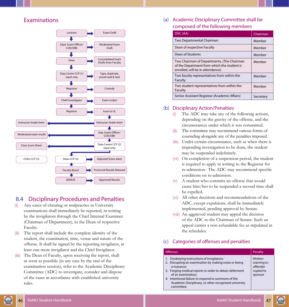<span id="page-28-0"></span>

#### 8.4 Disciplinary Procedures and Penalties

- (i) Any cases of cheating or malpractice in University examinations shall immediately be reported, in writing by the invigilators through the Chief Internal Examiner (Chairman of Department), to the Dean of respective Faculty.
- (ii) The report shall include the complete identity of the student, the examination, time, venue and nature of the offense. It shall be signed by the reporting invigilator, at least one more invigilator and the Chief Invigilator.
- (iii) The Dean of Faculty, upon receiving the report, shall as soon as possible (in any case by the end of the examination session), refer to the Academic Disciplinary Committee (ADC) to investigate, consider and dispose of the cases in accordance with established university rules.

Examinations (a) Academic Disciplinary Committee shall be composed of the following members

| DVC (AA)                                                                                                                       | Chairman  |
|--------------------------------------------------------------------------------------------------------------------------------|-----------|
| Two Departmental Chairmen                                                                                                      | Member    |
| Dean of respective Faculty                                                                                                     | Member    |
| Dean of Students                                                                                                               | Member    |
| Two Chairmen of Departments, (The Chairman<br>of the Department from which the student is<br>enrolled, will be in attendance). | Member    |
| Two faculty representatives from within the<br>Faculty                                                                         | Member    |
| Two student representatives from within the<br>Faculty                                                                         | Member    |
| Senior Assistant Registrar (Academic Affairs)                                                                                  | Secretary |

#### (b) Disciplinary Action/Penalties

- (i) The ADC may take any of the following actions, depending on the gravity of the offense, and the circumstances under which it was committed.
- (ii) The committee may recommend various forms of counseling alongside any of the penalties imposed.
- (iii) Under certain circumstance, such as when there is impending investigation to be done, the student may be suspended indefinitely.
- (vi) On completion of a suspension period, the student is required to apply in writing to the Registrar for re-admission. The ADC may recommend specific conditions on re-admission.
- (v) A student who commits an offense that would cause him/her to be suspended a second time shall be expelled.
- (vi) All other decisions and recommendations of the ADC, except expulsions, shall be immediately implemented, pending approval by Senate.
- (vii) An aggrieved student may appeal the decision of the ADC to the Chairman of Senate. Such an appeal carries a non-refundable fee as stipulated in the schedules.

#### (c) Categories of offenses and penalties

| <b>Offences</b>                                                                                                                                                                                                                                                                                                                    | Penalty                                                   |
|------------------------------------------------------------------------------------------------------------------------------------------------------------------------------------------------------------------------------------------------------------------------------------------------------------------------------------|-----------------------------------------------------------|
| 1. Disobeying instructions of invigilators;<br>2. Disrupting an examination by making noise or being<br>a nuisance;<br>3. Forging medical reports in order to obtain deferment<br>of an examination:<br>4. Intentional failure to respond to summons of the<br>Academic Disciplinary, or other recognized university<br>committee. | Written<br>warning to<br>offender<br>copied to<br>sponsor |
|                                                                                                                                                                                                                                                                                                                                    |                                                           |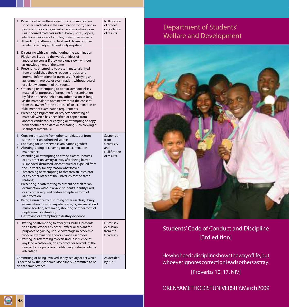<span id="page-29-0"></span>

| 1. Passing verbal, written or electronic communication<br>to other candidates in the examination room; being in<br>possession of or bringing into the examination room<br>unauthorized materials such as books, notes, papers,<br>electronic devices or formulae, pre-written answers;<br>2. Attending, or attempting to attend classes or other<br>academic activity whilst not duly registered                                                                                                                                                                                                                                                                                                                                                                                                                                                                                                                                                                                                                       | Nullification<br>of grade/<br>cancellation<br>of results               |
|------------------------------------------------------------------------------------------------------------------------------------------------------------------------------------------------------------------------------------------------------------------------------------------------------------------------------------------------------------------------------------------------------------------------------------------------------------------------------------------------------------------------------------------------------------------------------------------------------------------------------------------------------------------------------------------------------------------------------------------------------------------------------------------------------------------------------------------------------------------------------------------------------------------------------------------------------------------------------------------------------------------------|------------------------------------------------------------------------|
| 3. Discussing with each other during the examination<br>4. Plagiarism, i.e. using the words or ideas of<br>another person as if they were one's own without<br>acknowledgment of the same;<br>5. Presenting, attempting to present materials lifted<br>from or published (books, papers, articles, and<br>internet information) for purposes of satisfying an<br>assignment, project, or examination, without regard<br>or acknowledgment of the source.<br>6. Obtaining or attempting to obtain someone else's<br>material for purposes of preparing for examination<br>by false pretense, theft or any other reason as long<br>as the materials are obtained without the consent                                                                                                                                                                                                                                                                                                                                     |                                                                        |
| from the owner for the purpose of an examination or<br>fulfillment of examination requirements<br>7. Presenting assignments or projects consisting of<br>materials which has been lifted or copied from<br>another candidate, or copying or attempting to copy<br>from another candidate or facilitating such copying or<br>sharing of material(s).                                                                                                                                                                                                                                                                                                                                                                                                                                                                                                                                                                                                                                                                    |                                                                        |
| 1. Copying or reading from other candidates or from<br>some other unauthorized source<br>2. Lobbying for undeserved examinations grades;<br>3. Abetting, aiding or covering up an examination<br>malpractice;<br>4. Attending or attempting to attend classes, lectures<br>or any other university activity after being barred,<br>suspended, dismissed, discontinued or expelled from<br>the university for any reason whatsoever;<br>5. Threatening or attempting to threaten an instructor<br>or any other officer of the university for the same<br>reasons;<br>6. Presenting, or attempting to present oneself for an<br>examination without a valid Student's Identity Card,<br>or any other required and/or acceptable form of<br>identification;<br>7. Being a nuisance by disturbing others in class, library,<br>examination room or anywhere else, by means of loud<br>music, howling, screaming, shouting or other form of<br>unpleasant vocalization;<br>8. Destroying or attempting to destroy evidence. | Suspension<br>from<br>University<br>and<br>Nullification<br>of results |
| 1. Offering or attempting to offer gifts, bribes, presents<br>to an instructor or any other officer or servant for<br>purposes of gaining undue advantage in academic<br>work or examination and/or changes in grades.<br>2. Exerting, or attempting to exert undue influence of<br>any kind whatsoever, on any officer or servant of the<br>university, for purposes of obtaining undue academic<br>advantage                                                                                                                                                                                                                                                                                                                                                                                                                                                                                                                                                                                                         | Dismissal/<br>expulsion<br>from the<br>University                      |
| Committing or being involved in any activity or act which<br>is deemed by the Academic Disciplinary Committee to be<br>an academic offence.                                                                                                                                                                                                                                                                                                                                                                                                                                                                                                                                                                                                                                                                                                                                                                                                                                                                            | As decided<br>by ADC                                                   |

# Department of Students' Welfare and Development



# Students' Code of Conduct and Discipline [3rd edition]

He who heeds disciplines hows the way of life, but whoeverignores correction leads others astray.

[Proverbs 10: 17, NIV]

# © KENYA METHODIST UNIVERSITY, March 2009

G 48 KeMu Student Handbook Students' Code of Code of Code of Code of Code of Conduct and Discipline KeMU Student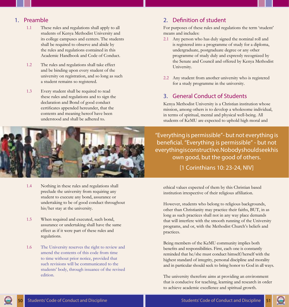#### <span id="page-30-0"></span>1. Preamble

- 1.1 These rules and regulations shall apply to all students of Kenya Methodist University and its college campuses and centers. The students shall be required to observe and abide by the rules and regulations contained in this Academic Handbook and Code of Conduct.
- 1.2 The rules and regulations shall take effect and be binding upon every student of the university on registration, and so long as such a student remains so registered.
- 1.3 Every student shall be required to read these rules and regulations and to sign the declaration and Bond of good conduct certificates appended hereunder, that the contents and meaning hereof have been understood and shall be adhered to.

- 1.4 Nothing in these rules and regulations shall preclude the university from requiring any student to execute any bond, assurance or undertaking to be of good conduct throughout his/her stay at the university.
- 1.5 When required and executed, such bond, assurance or undertaking shall have the same effect as if it were part of these rules and regulations.
- 1.6 The University reserves the right to review and amend the contents of this code from time to time without prior notice, provided that such revisions will be communicated to the students' body, through issuance of the revised edition.

# 2. Definition of student

For purposes of these rules and regulations the term 'student' means and includes:

- 2.1 Any person who has duly signed the nominal roll and is registered into a programme of study for a diploma, undergraduate, postgraduate degree or any other programme of study duly and expressly recognized by the Senate and Council and offered by Kenya Methodist University.
- 2.2 Any student from another university who is registered for a study programme in the university.

# 3. General Conduct of Students

Kenya Methodist University is a Christian institution whose mission, among others is to develop a wholesome individual, in terms of spiritual, mental and physical well-being. All students of KeMU are expected to uphold high moral and

"Everything is permissible"- but not everything is beneficial. "Everything is permissible" - but not everything is constructive. Nobody should seek his own good, but the good of others.

[1 Corinthians 10: 23-24, NIV]

ethical values expected of them by this Christian based institution irrespective of their religious affiliation.

However, students who belong to religious backgrounds, other than Christianity may practice their faiths, BUT, in as long as such practices shall not in any way place demands that will interfere with the smooth running of the University programs, and or, with the Methodist Church's beliefs and practices.

Being members of the KeMU community implies both benefits and responsibilities. First, each one is constantly reminded that he/she must conduct himself/herself with the highest standard of integrity, personal discipline and morality and in particular should seek to bring honor to God in all ways.

The university therefore aims at providing an environment that is conducive for teaching, learning and research in order to achieve academic excellence and spiritual growth.

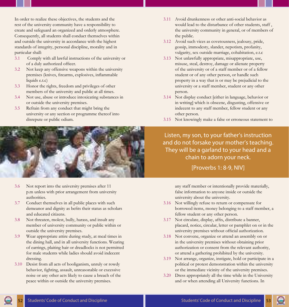In order to realize these objectives, the students and the rest of the university community have a responsibility to create and safeguard an organized and orderly atmosphere. Consequently, all students shall conduct themselves within and outside the university in accordance with the highest standards of integrity, personal discipline, morality and in particular shall:

- 3.1 Comply with all lawful instructions of the university or of a duly authorized officer.
- 3.2 Not keep any offensive weapons within the university premises (knives, firearms, explosives, inflammable liquids e.t.c)
- 3.3 Honor the rights, freedom and privileges of other members of the university and public at all times.
- 3.4 Not use, abuse or introduce intoxicating substances in or outside the university premises.
- 3.5 Refrain from any conduct that might bring the university or any section or programme thereof into disrepute or public odium.



- 3.6 Not report into the university premises after 11 p.m unless with prior arrangement from university authorities.
- 3.7 Conduct themselves in all public places with such demeanor and dignity as befits their status as scholars and educated citizens.
- 3.8 Not threaten, molest, bully, harass, and insult any member of university community or public within or outside the university premises.
- 3.9 Wear appropriate attire during study, at meal times in the dining hall, and in all university functions. Wearing of earrings, plaiting hair or dreadlocks is not permitted for male students while ladies should avoid indecent dressing.
- 3.10 Desist from all acts of hooliganism, unruly or rowdy behavior, fighting, assault, unreasonable or excessive noise or any other acts likely to cause a breach of the peace within or outside the university premises.
- 3.11 Avoid drunkenness or other anti-social behavior as would lead to the disturbance of other students, staff , the university community in general, or of members of the public.
- 3.12 Avoid such vices as covetousness, jealousy, pride, gossip, immodesty, slander, nepotism, profanity, vulgarity, sex outside marriage, cohabitation, e.t.c
- 3.13 Not unlawfully appropriate, misappropriate, use, misuse, steal, destroy, damage or alienate property of the university or of a staff member or of a fellow student or of any other person, or handle such property in a way that is or may be prejudicial to the university or a staff member, student or any other person.
- 3.14 Not display conduct [either in language, behavior or in writing] which is obscene, disgusting, offensive or indecent to any staff member, fellow student or any other person.
- 3.15 Not knowingly make a false or erroneous statement to

Listen, my son, to your father's instruction and do not forsake your mother's teaching. They will be a garland to your head and a chain to adorn your neck.

#### [Proverbs 1: 8-9, NIV]

any staff member or intentionally provide materially, false information to anyone inside or outside the university about the university.

- 3.16 Not willingly refuse to return or compensate for borrowed items, money belonging to a staff member, a fellow student or any other person.
- 3.17 Not circulate, display, affix, distribute a banner, placard, notice, circular, letter or pamphlet on or in the university premises without official authorization.
- 3.18 Not convene, organize or attend an assembly on or in the university premises without obtaining prior authorization or consent from the relevant authority, or attend a gathering prohibited by the university.
- 3.19 Not arrange, organize, instigate, hold or participate in a political or protest demonstration within the university or the immediate vicinity of the university premises.
- 3.20 Dress appropriately all the time while in the University and or when attending all University functions. In

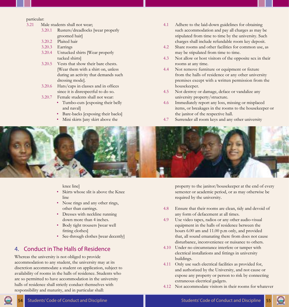#### <span id="page-32-0"></span>particular:

- 3.21 Male students shall not wear;
	- 3.20.1 Rusters/dreadlocks [wear properly groomed hair]
	- 3.20.2 Plaited hair
	- 3.20.3 Earrings
	- 3.20.4 Untucked shirts [Wear properly tucked shirts]
	- 3.20.5 Vests that show their bare chests. [Wear them with a shirt on, unless during an activity that demands such dressing mode].
	- 3.20.6 Hats/caps in classes and in offices since it is disrespectful to do so.
	- 3.20.7 Female students shall not wear:
		- Tumbo-cuts [exposing their belly and naval]
		- Bare-backs [exposing their backs]
		- Mini skirts [any skirt above the
- 4.1 Adhere to the laid-down guidelines for obtaining such accommodation and pay all charges as may be stipulated from time to time by the university. Such charges shall include refundable room key deposit.
- 4.2 Share rooms and other facilities for common use, as may be stipulated from time to time.
- 4.3 Not allow or host visitors of the opposite sex in their rooms at any time.
- 4.4 Not remove furniture or equipment or fixture from the halls of residence or any other university premises except with a written permission from the housekeeper.
- 4.5 Not destroy or damage, deface or vandalize any university property/structure.
- 4.6 Immediately report any loss, missing or misplaced items, or breakages in the rooms to the housekeeper or the janitor of the respective hall.
- 4.7 Surrender all room keys and any other university



knee line]

- Skirts whose slit is above the Knee line
- Nose rings and any other rings, other than earrings.
- Dresses with neckline running down more than 4 inches.
- Body tight trousers [wear well fitting clothes]
- See-through clothes [wear decently]

# 4. Conduct in The Halls of Residence

Whereas the university is not obliged to provide accommodation to any student, the university may at its discretion accommodate a student on application, subject to availability of rooms in the halls of residence. Students who are so permitted to have accommodation in the university halls of residence shall strictly conduct themselves with responsibility and maturity, and in particular shall:

property to the janitor/housekeeper at the end of every semester or academic period, or as may otherwise be required by the university.

- 4.8 Ensure that their rooms are clean, tidy and devoid of any form of defacement at all times.
- 4.9 Use video tapes, radios or any other audio-visual equipment in the halls of residence between the hours 6.00 am and 11.00 p.m only, and provided that, all sound emanating there from does not cause disturbance, inconvenience or nuisance to others.
- 4.10 Under no circumstance interfere or tamper with electrical installations and fittings in university buildings.
- 4.11 Only use such electrical facilities as provided for, and authorized by the University, and not cause or expose any property or person to risk by connecting extraneous electrical gadgets.
- 4.12 Not accommodate visitors in their rooms for whatever

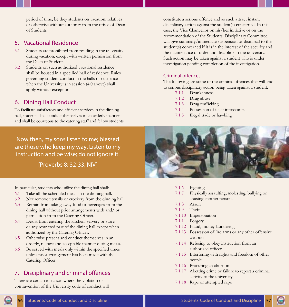<span id="page-33-0"></span>period of time, be they students on vacation, relatives or otherwise without authority from the office of Dean of Students

#### 5. Vacational Residence

- 5.1 Students are prohibited from residing in the university during vacation, except with written permission from the Dean of Students.
- 5.2 Students on such authorized vacational residence shall be housed in a specified hall of residence. Rules governing student conduct in the halls of residence when the University is in session (4.0 above) shall apply without exception.

#### 6. Dining Hall Conduct

To facilitate satisfactory and efficient services in the dinning hall, students shall conduct themselves in an orderly manner and shall be courteous to the catering staff and fellow students.

Now then, my sons listen to me; blessed are those who keep my way. Listen to my instruction and be wise; do not ignore it.

[Proverbs 8: 32-33, NIV]

In particular, students who utilize the dining hall shall:

- 6.1 Take all the scheduled meals in the dinning hall.
- 6.2 Not remove utensils or crockery from the dinning hall
- 6.3 Refrain from taking away food or beverages from the dining hall without prior arrangements with and/ or permission from the Catering Officer.
- 6.4 Desist from entering the kitchen, servery or store or any restricted part of the dining hall except when authorized by the Catering Officer.
- 6.5 Otherwise present and conduct themselves in an orderly, mature and acceptable manner during meals.
- 6.6 Be served with meals only within the specified times unless prior arrangement has been made with the Catering Officer.

## 7. Disciplinary and criminal offences

There are certain instances where the violation or contravention of the University code of conduct will

constitute a serious offence and as such attract instant disciplinary action against the student(s) concerned. In this case, the Vice Chancellor on his/her initiative or on the recommendation of the Students' Disciplinary Committee, will give summary/immediate suspension or dismissal to the student(s) concerned if it is in the interest of the security and the maintenance of order and discipline in the university. Such action may be taken against a student who is under investigation pending completion of the investigation.

#### Criminal offences

The following are some of the criminal offences that will lead to serious disciplinary action being taken against a student:

- 7.1.1 Drunkenness
- 7.1.2 Drug abuse
- 7.1.3 Drug trafficking
- 7.1.4 Possession of illicit intoxicants
- 7.1.5 Illegal trade or hawking



- 7.1.6 Fighting
- 7.1.7 Physically assaulting, molesting, bullying or abusing another person.
- 7.1.8 Arson
- 7.1.9 Theft
- 7.1.10 Impersonation
- 7.1.11 Forgery
- 7.1.12 Fraud, money laundering
- 7.1.13 Possession of fire arms or any other offensive weapon
- 7.1.14 Refusing to obey instruction from an authorized officer
- 7.1.15 Interfering with rights and freedom of other people
- 7.1.16 Procuring an abortion
- 7.1.17 Abetting crime or failure to report a criminal activity to the university
- 7.1.18 Rape or attempted rape

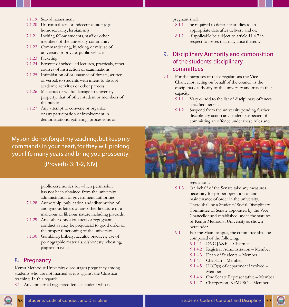- <span id="page-34-0"></span>7.1.19 Sexual harassment
- 7.1.20 Un-natural acts or indecent assault (e.g. homosexuality, lesbianism)
- 7.1.21 Inciting fellow students, staff or other members of the university community
- 7.1.22 Commandeering, hijacking or misuse of university or private, public vehicles
- 7.1.23 Picketing
- 7.1.24 Boycott of scheduled lectures, practicals, other courses of instruction or examinations
- 7.1.25 Intimidation of or issuance of threats, written or verbal, to students with intent to disrupt academic activities or other process
- 7.1.26 Malicious or willful damage to university property, that of other student or members of the public
- 7.1.27 Any attempt to convene or organize or any participation or involvement in demonstrations, gathering, processions or

#### pregnant shall:

- 8.1.1 be required to defer her studies to an appropriate date after delivery and or,
- 8.1.2 if applicable be subject to article 11.4.7 in respect to losses that may arise thereof.
- 9. Disciplinary Authority and composition of the students' disciplinary committees
- 9.1 For the purposes of these regulations the Vice Chancellor, acting on behalf of the council, is the disciplinary authority of the university and may in that capacity:
	- 9.1.1 Vary or add to the list of disciplinary offences specified herein.
	- 9.1.2 Suspend from the university pending further disciplinary action any student suspected of committing an offence under these rules and

My son, do not forget my teaching, but keep my commands in your heart, for they will prolong your life many years and bring you prosperity.

[Proverbs 3: 1-2, NIV]

public ceremonies for which permission has not been obtained from the university administration or government authorities.

- 7.1.28 Authorship, publication and/distribution of anonymous letters or any other literature of a malicious or libelous nature including placards.
- 7.1.29 Any other obnoxious acts or repugnant conduct as may be prejudicial to good order or the proper functioning of the university
- 7.1.30 Gambling, bribery, accultic practices, use of pornographic materials, dishonesty (cheating, plagiarism e.t.c)

#### 8. Pregnancy

Kenya Methodist University discourages pregnancy among students who are not married as it is against the Christian teaching. In this regard:

8.1 Any unmarried registered female student who falls



regulations.

- 9.1.3 On behalf of the Senate take any measures necessary for proper operation of and maintenance of order in the university. There shall be a Students' Social Disciplinary Committee of Senate appointed by the Vice Chancellor and established under the statutes of Kenya Methodist University as shown hereunder.
- 9.1.4 For the Main campus, the committee shall be composed of the following:
	- 9.1.4.1 DVC [A&F] Chairman
	- 9.1.4.2 Registrar Administration Member
	- 9.1.4.3 Dean of Students Member
	- 9.1.4.4 Chaplain Member
	- 9.1.4.5 HOD(s) of department involved Member
	- 9.1.4.6 One Senate Representative Member
	- 9.1.4.7 Chairperson, KeMUSO Member

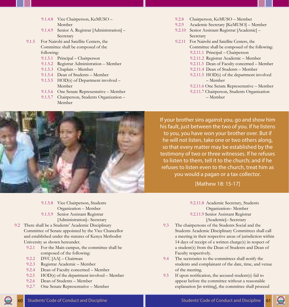- 9.1.4.8 Vice Chairperson, KeMUSO Member
- 9.1.4.9 Senior A. Registrar [Administration] Secretary
- 9.1.5 For Nairobi and Satellite Centers, the Committee shall be composed of the following:
	- 9.1.5.1 Principal Chairperson
	- 9.1.5.2 Registrar Administration Member
	- 9.1.5.3 Chaplain Member
	- 9.1.5.4 Dean of Students Member
	- 9.1.5.5 HOD(s) of Department involved -Member
	- 9.1.5.6 One Senate Representative Member
	- 9.1.5.7 Chairperson, Students Organization Member



- 9.2.9 Academic Secretary [KeMUSO] Member
- 9.2.10 Senior Assistant Registrar [Academic] Secretary
- 9.2.11 For Nairobi and Satellite Centers, the Committee shall be composed of the following:
	- 9.2.11.1 Principal Chairperson
	- 9.2.11.2 Registrar Academic Member
	- 9.2.11.3 Dean of Faculty concerned Member
	- 9.2.11.4 Dean of Students Member
	- 9.2.11.5 HOD(s) of the department involved – Member
	- 9.2.11.6 One Senate Representative Member
	- 9.2.11.7 Chairperson, Students Organization – Member



If your brother sins against you, go and show him his fault, just between the two of you. If he listens to you, you have won your brother over. But if he will not listen, take one or two others along, so that every matter may be established by the testimony of two or three witnesses. If he refuses to listen to them, tell it to the church; and if he refuses to listen even to the church, treat him as you would a pagan or a tax collector.

#### [Mathew 18: 15-17]

- 9.1.5.8 Vice Chairperson, Students Organization – Member 9.1.5.9 Senior Assistant Registrar
	- [Administration]– Secretary
- 9.2 There shall be a Students' Academic Disciplinary Committee of Senate appointed by the Vice Chancellor and established under the statutes of Kenya Methodist University as shown hereunder.
	- 9.2.1 For the Main campus, the committee shall be composed of the following:
	- 9.2.2 DVC [AA] Chairman
	- 9.2.3 Registrar Academic Member
	- 9.2.4 Dean of Faculty concerned Member
	- 9.2.5 HOD(s) of the department involved Member
	- 9.2.6 Dean of Students Member
	- 9.2.7 One Senate Representative Member
- 9.2.11.8 Academic Secretary, Students Organization– Member 9.2.11.9 Senior Assistant Registrar [Academic]– Secretary
- 9.3 The chairpersons of the Students Social and the Students Academic Disciplinary Committees shall call a meeting in their respective areas of jurisdiction within 14 days of receipt of a written charge(s) in respect of a student(s) from the Dean of Students and Dean of Faculty respectively.
- 9.4 The secretaries to the committees shall notify the students and complainant of the date, time, and venue of the meeting.
- 9.5 If upon notification, the accused student(s) fail to appear before the committee without a reasonable explanation [in writing], the committee shall proceed

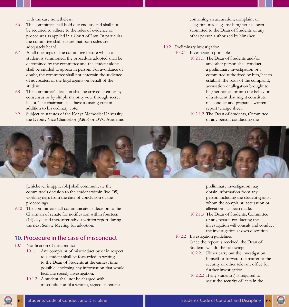with the case nonetheless.

- <span id="page-36-0"></span>9.6 The committee shall hold due enquiry and shall not be required to adhere to the rules of evidence or procedures as applied in a Court of Law. In particular, the committee shall ensure that both sides are adequately heard.
- 9.7 At all meetings of the committee before which a student is summoned, the procedure adopted shall be determined by the committee and the student alone shall be entitled to appear in person. For avoidance of doubt, the committee shall not entertain the audience of advocates, or the legal agents on behalf of the student.
- 9.8 The committee's decision shall be arrived at either by consensus or by simple majority vote through secret ballot. The chairman shall have a casting vote in addition to his ordinary vote.
- 9.9 Subject to statutes of the Kenya Methodist University, the Deputy Vice Chancellor (A&F) or DVC Academic

containing an accusation, complaint or allegation made against him/her has been submitted to the Dean of Students or any other person authorized by him/her.

#### 10.2 Preliminary investigation

- 10.2.1 Investigation principles
	- 10.2.1.1 The Dean of Students and/or any other person shall conduct a preliminary investigation or a committee authorized by him/her to establish the basis of the complaint, accusation or allegation brought to his/her notice, or into the behavior of a student that might constitute misconduct and prepare a written report/charge sheet.
	- 10.2.1.2 The Dean of Students, Committee or any person conducting the



[whichever is applicable] shall communicate the committee's decision to the student within five (05) working days from the date of conclusion of the proceedings.

9.10 The committee shall communicate its decision to the Chairman of senate for notification within fourteen (14) days, and thereafter table a written report during the next Senate Meeting for adoption.

#### 10. Procedure in the case of misconduct

- 10.1 Notification of misconduct
	- 10.1.1 Any complaint of misconduct by or in respect to a student shall be forwarded in writing to the Dean of Students at the earliest time possible, enclosing any information that would facilitate speedy investigation.
	- 10.1.2 A student shall not be charged with misconduct until a written, signed statement

preliminary investigation may obtain information from any person including the student against whom the complaint, accusation or allegation has been made.

- 10.2.1.3 The Dean of Students, Committee or any person conducting the investigation will consult and conduct the investigation at own discretion.
- 10.2.2 Investigation guidelines Once the report is received, the Dean of Students will do the following:
	- 10.2.2.1 Either carry out the investigation himself or forward the matter to the security or other relevant office for further investigation
	- 10.2.2.2 If any student(s) is required to assist the security officers in the

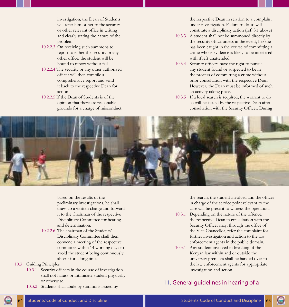<span id="page-37-0"></span>investigation, the Dean of Students will refer him or her to the security or other relevant office in writing and clearly stating the nature of the problem.

- 10.2.2.3 On receiving such summons to report to either the security or any other office, the student will be bound to report without fail
- 10.2.2.4 The security or any other authorized officer will then compile a comprehensive report and send it back to the respective Dean for action
- 10.2.2.5 If the Dean of Students is of the opinion that there are reasonable grounds for a charge of misconduct

the respective Dean in relation to a complaint under investigation. Failure to do so will constitute a disciplinary action (ref. 3.1 above)

- 10.3.3 A student shall not be summoned directly by the security office unless in the event, he/she has been caught in the course of committing a crime whose evidence is likely to be interfered with if left unattended.
- 10.3.4 Security officers have the right to pursue any student found or suspected to be in the process of committing a crime without prior consultation with the respective Dean. However, the Dean must be informed of such an activity taking place.
- 10.3.5 If a local search is required, the warrant to do so will be issued by the respective Dean after consultation with the Security Officer. During



based on the results of the preliminary investigations, he shall draw up a written charge and forward it to the Chairman of the respective Disciplinary Committee for hearing and determination.

- 10.2.2.6 The chairman of the Students' Disciplinary Committee shall then convene a meeting of the respective committee within 14 working days to avoid the student being continuously absent for a long time.
- 10.3 Guiding Principles
	- 10.3.1 Security officers in the course of investigation shall not harass or intimidate student physically or otherwise.
	- 10.3.2 Students shall abide by summons issued by

the search, the student involved and the officer in charge of the service point relevant to the case will be present to witness the operation.

- 10.3.1 Depending on the nature of the offence, the respective Dean in consultation with the Security Officer may, through the office of the Vice Chancellor, refer the complaint for further investigation and action to the law enforcement agents in the public domain.
- 10.3.1 Any student involved in breaking of the Kenyan law within and or outside the university premises shall be handed over to the law enforcement agents for appropriate investigation and action.

# 11. General guidelines in hearing of a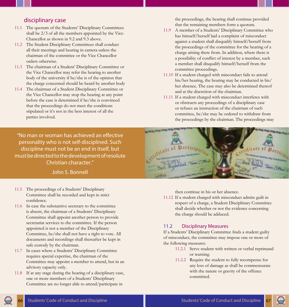#### disciplinary case

- 11.1 The quorum of the Students' Disciplinary Committees shall be 2/3 of all the members appointed by the Vice-Chancellor as shown in 9.2 and 9.3 above.
- 11.2 The Student Disciplinary Committees shall conduct all their meetings and hearing in camera unless the chairman of the committee or the Vice Chancellor orders otherwise.
- 11.3 The chairman of a Student' Disciplinary Committee or the Vice Chancellor may refer the hearing to another body of the university if he/she is of the opinion that the charge concerned should be heard by another body
- 11.4 The chairman of a Student Disciplinary Committee or the Vice Chancellor may stop the hearing at any point before the case is determined if he/she is convinced that the proceedings do not meet the conditions stipulated or it's not in the best interest of all the parties involved.

"No man or woman has achieved an effective personality who is not self-disciplined. Such discipline must not be an end in itself, but must be directed to the development of resolute Christian character."

John S. Bonnell

- 11.5 The proceedings of a Students' Disciplinary Committee shall be recorded and kept in strict confidence.
- 11.6 In case the substantive secretary to the committee is absent, the chairman of a Students' Disciplinary Committee shall appoint another person to provide secretariat services to the committee. If the person appointed is not a member of the Disciplinary Committee, he/she shall not have a right to vote. All documents and recordings shall thereafter be kept in safe custody by the chairman.
- 11.7 In cases where a Students' Disciplinary Committee requires special expertise, the chairman of the Committee may appoint a member to attend, but in an advisory capacity only.
- 11.8 If at any stage during the hearing of a disciplinary case, one or more members of a Students' Disciplinary Committee are no longer able to attend/participate in

the proceedings, the hearing shall continue provided that the remaining members form a quorum.

- 11.9 A member of a Students' Disciplinary Committee who has himself/herself laid a complaint of misconduct against a student shall disqualify himself/herself from the proceedings of the committee for the hearing of a charge arising there from. In addition, where there is a possibility of conflict of interest by a member, such a member shall disqualify himself/herself from the committee proceedings.
- 11.10 If a student charged with misconduct fails to attend his/her hearing, the hearing may be conducted in his/ her absence. The case may also be determined thereof and at the discretion of the chairman.
- 11.11 If a student charged with misconduct interferes with or obstructs any proceedings of a disciplinary case or refuses an instruction of the chairman of such committee, he/she may be ordered to withdraw from the proceedings by the chairman. The proceedings may



then continue in his or her absence.

11.12 If a student charged with misconduct admits guilt in respect of a charge, a Student Disciplinary Committee shall decide whether or not the evidence concerning the charge should be adduced.

#### 11.2 Disciplinary Measures

If a Students' Disciplinary Committee finds a student guilty of misconduct, the committee may impose one or more of the following measures:

- 11.2.1 Serve student with written or verbal reprimand or warning.
- 11.2.2 Require the student to fully recompense for any loss of damage as shall be commensurate with the nature or gravity of the offence committed.

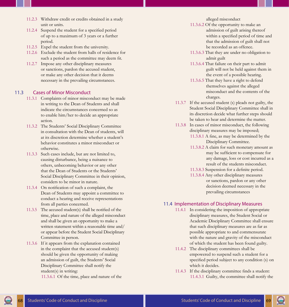- 11.2.3 Withdraw credit or credits obtained in a study unit or units.
- 11.2.4 Suspend the student for a specified period of up to a maximum of 3 years or a further period.
- 11.2.5 Expel the student from the university.
- 11.2.6 Exclude the student from halls of residence for such a period as the committee may deem fit.
- 11.2.7 Impose any other disciplinary measures or sanctions, pardon the accused student, or make any other decision that it deems necessary in the prevailing circumstances.

#### 11.3 Cases of Minor Misconduct

- 11.3.1 Complaints of minor misconduct may be made in writing to the Dean of Students and shall indicate the circumstances concerned so as to enable him/her to decide an appropriate action.
- 11.3.2 The Students' Social Disciplinary Committee in consultation with the Dean of students, will at its discretion determine whether a student's behavior constitutes a minor misconduct or otherwise.
- 11.3.3 Such cases include, but are not limited to, causing disturbance, being a nuisance to others, unbecoming behavior or any other that the Dean of Students or the Students' Social Disciplinary Committee in their opinion, considers to be minor in nature.
- 11.3.4 On notification of such a complaint, the Dean of Students may appoint a committee to conduct a hearing and receive representations from all parties concerned.
- 11.3.5 The accused student(s) shall be notified of the time, place and nature of the alleged misconduct and shall be given an opportunity to make a written statement within a reasonable time and/ or appear before the Student Social Disciplinary Committee in person.
- 11.3.6 If it appears from the explanation contained in the complaint that the accused student(s) should be given the opportunity of making an admission of guilt, the Students' Social Disciplinary Committee shall notify the student(s) in writing:

11.3.6.1 Of the time, place and nature of the

alleged misconduct

- 11.3.6.2 Of the opportunity to make an admission of guilt arising thereof within a specified period of time and that the admission of guilt shall not be recorded as an offence.
- 11.3.6.3 That they are under no obligation to admit guilt
- 11.3.6.4 That failure on their part to admit guilt will not be held against them in the event of a possible hearing.
- 11.3.6.5 That they have a right to defend themselves against the alleged misconduct and the contents of the charges.
- 11.3.7 If the accused student (s) pleads not guilty, the Student Social Disciplinary Committee shall in its discretion decide what further steps should be taken to hear and determine the matter.
- 11.3.8 In cases of minor misconduct, the following disciplinary measures may be imposed;
	- 11.3.8.1 A fine, as may be determined by the Disciplinary Committee.
	- 11.3.8.2 A claim for such monetary amount as may be sufficient to compensate for any damage, loss or cost incurred as a result of the students misconduct.
	- 11.3.8.3 Suspension for a definite period.
	- 11.3.8.4 Any other disciplinary measures or sanctions, pardon or any other decision deemed necessary in the prevailing circumstances

#### 11.4 Implementation of Disciplinary Measures

- 11.4.1 In considering the imposition of appropriate disciplinary measures, the Student Social or Academic Disciplinary Committee shall ensure that such disciplinary measures are as far as possible appropriate to and commensurate with the nature and gravity of the misconduct of which the student has been found guilty.
- 11.4.2 The disciplinary committees shall be empowered to suspend such a student for a specified period subject to any condition (s) on which it decides.
- 11.4.3 If the disciplinary committee finds a student: 11.4.3.1 Guilty, the committee shall notify the

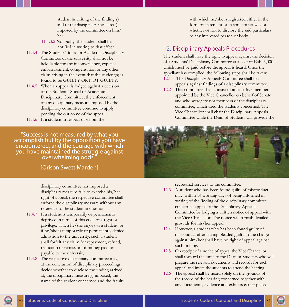student in writing of the finding(s) and of the disciplinary measure(s) imposed by the committee on him/ her.

<span id="page-40-0"></span>11.4.3.2 Not guilty, the student shall be notified in writing to that effect.

- 11.4.4 The Students' Social or Academic Disciplinary Committee or the university shall not be held liable for any inconvenience, expense, embarrassment, compensation or any other claim arising in the event that the student(s) is found to be GUILTY OR NOT GUILTY.
- 11.4.5 When an appeal is lodged against a decision of the Students' Social or Academic Disciplinary Committee, the enforcement of any disciplinary measure imposed by the disciplinary committee continue to apply pending the out come of the appeal.
- 11.4.6 If a student in respect of whom the

"Success is not measured by what you accomplish but by the opposition you have encountered, and the courage with which you have maintained the struggle against overwhelming odds."

#### [Orison Swett Marden]

disciplinary committee has imposed a disciplinary measure fails to exercise his/her right of appeal, the respective committee shall enforce the disciplinary measure without any reference to the student in question.

- 11.4.7 If a student is temporarily or permanently deprived in terms of this code of a right or privilege, which he/she enjoys as a student, or if he/she is temporarily or permanently denied admission to the university, such a student shall forfeit any claim for repayment, refund, reduction or remission of money paid or payable to the university.
- 11.4.8 The respective disciplinary committee may, at the conclusion of disciplinary proceedings decide whether to disclose the finding arrived at, the disciplinary measure(s) imposed, the name of the student concerned and the faculty

with which he/she is registered either in the form of statement or in some other way or whether or not to disclose the said particulars to any interested person or body.

#### 12. Disciplinary Appeals Procedures

The student shall have the right to appeal against the decision of a Students' Disciplinary Committee at a cost of Ksh. 5,000, which must be paid before the appeal is heard. Once the appellant has complied, the following steps shall be taken:

- 12.1 The Disciplinary Appeals Committee shall hear appeals against findings of a disciplinary committee.
- 12.2 This committee shall consist of at least five members appointed by the Vice Chancellor on behalf of Senate and who were/are not members of the disciplinary committee, which tried the students concerned. The Vice Chancellor shall chair the Disciplinary Appeals Committee while the Dean of Students will provide the



secretariat services to the committee.

- 12.3 A student who has been found guilty of misconduct may, within 14 working days of being informed in writing of the finding of the disciplinary committee concerned appeal to the Disciplinary Appeals Committee by lodging a written notice of appeal with the Vice Chancellor. The notice will furnish detailed grounds for his/her appeal.
- 12.4 However, a student who has been found guilty of misconduct after having pleaded guilty to the charge against him/her shall have no right of appeal against such finding.
- 12.5 On receipt of a notice of appeal the Vice Chancellor shall forward the same to the Dean of Students who will prepare the relevant documents and records for each appeal and invite the students to attend the hearing.
- 12.6 The appeal shall be heard solely on the grounds of the record of the hearing concerned together with any documents, evidence and exhibits earlier placed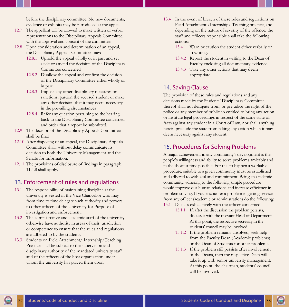<span id="page-41-0"></span>before the disciplinary committee. No new documents, evidence or exhibits may be introduced at the appeal.

- 12.7 The appellant will be allowed to make written or verbal representations to the Disciplinary Appeals Committee, with the approval and consent of the committee.
- 12.8 Upon consideration and determination of an appeal, the Disciplinary Appeals Committee may:
	- 12.8.1 Uphold the appeal wholly or in part and set aside or amend the decision of the Disciplinary Committee concerned
	- 12.8.2 Disallow the appeal and confirm the decision of the Disciplinary Committee either wholly or in part
	- 12.8.3 Impose any other disciplinary measures or sanctions, pardon the accused student or make any other decision that it may deem necessary in the prevailing circumstances
	- 12.8.4 Refer any question pertaining to the hearing back to the Disciplinary Committee concerned and order that a report be submitted.
- 12.9 The decision of the Disciplinary Appeals Committee shall be final
- 12.10 After disposing of an appeal, the Disciplinary Appeals Committee shall, without delay communicate its decision to both the University Management and the Senate for information.
- 12.11 The provisions of disclosure of findings in paragraph 11.4.8 shall apply.

#### 13. Enforcement of rules and regulations

- 13.1 The responsibility of maintaining discipline at the university is vested in the Vice Chancellor who may from time to time delegate such authority and powers to other officers of the University for Purpose of investigation and enforcement.
- 13.2 The administrative and academic staff of the university otherwise have authority in areas of their jurisdiction or competence to ensure that the rules and regulations are adhered to by the students.
- 13.3 Students on Field Attachment/ Internship/Teaching Practice shall be subject to the supervision and disciplinary authority of the mandated university staff and of the officers of the host organization under whom the university has placed them upon.
- 13.4 In the event of breach of these rules and regulations on Field Attachment /Internship/ Teaching practice, and depending on the nature of severity of the offence, the staff and officers responsible shall take the following actions:
	- 13.4.1 Warn or caution the student either verbally or in writing.
	- 13.4.2 Report the student in writing to the Dean of Faculty enclosing all documentary evidence.
	- 13.4.3 Take any other actions that may deem appropriate.

#### 14. Saving Clause

The provision of these rules and regulations and any decisions made by the Students' Disciplinary Committee thereof shall not derogate from, or prejudice the right of the police or any member of public so entitled to bring any action or institute legal proceedings in respect of the same state of facts against any student in a Court of Law, nor shall anything herein preclude the state from taking any action which it may deem necessary against any student.

#### 15. Procedures for Solving Problems

A major achievement in any community's development is the people's willingness and ability to solve problems amicably and in the shortest time possible. For this to happen a workable procedure, suitable to a given community must be established and adhered to with zeal and commitment. Being an academic community, adhering to the following simple procedure would improve our human relations and increase efficiency in problem solving. If you encounter a problem in getting services from any officer (academic or administration) do the following:

- 15.1 Discuss exhaustively with the officer concerned
	- 15.1.1 If, after the discussion the problem persists, discuss it with the relevant Head of Department. At this point, the respective secretary in the students' council may be involved.
	- 15.1.2 If the problem remains unsolved, seek help from the Faculty Dean (Academic problems) or the Dean of Students for other problems.
	- 15.1.3 If the problem still persists after involvement of the Deans, then the respective Dean will take it up with senior university management. At this point, the chairman, students' council will be involved.

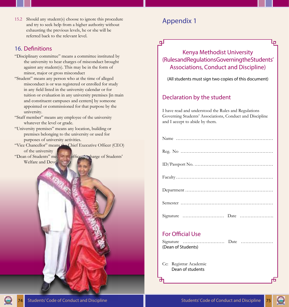<span id="page-42-0"></span>15.2 Should any student(s) choose to ignore this procedure and try to seek help from a higher authority without exhausting the previous levels, he or she will be referred back to the relevant level.

# 16. Definitions

- "Disciplinary committee" means a committee instituted by the university to hear charges of misconduct brought against any student(s). This may be in the form of minor, major or gross misconduct
- "Student" means any person who at the time of alleged misconduct is or was registered or enrolled for study in any field listed in the university calendar or for tuition or evaluation in any university premises [in main and constituent campuses and centers] by someone appointed or commissioned for that purpose by the university.
- "Staff member" means any employee of the university whatever the level or grade.
- "University premises" means any location, building or premises belonging to the university or used for purposes of university activities.
- "Vice Chancellor" means the Chief Executive Officer (CEO) of the university

"Dean of Students" means the officer in charge of Students' Welfare and Deve<sup>1</sup>

# Appendix 1

ᇛ

# Kenya Methodist University (Rules and Regulations Governing the Students' Associations, Conduct and Discipline)

(All students must sign two copies of this document)

# Declaration by the student

I have read and understood the Rules and Regulations Governing Students' Associations, Conduct and Discipline and I accept to abide by them.

# For Official Use

| (Dean of Students) |  |  |
|--------------------|--|--|

Cc: Registrar Academic Dean of students

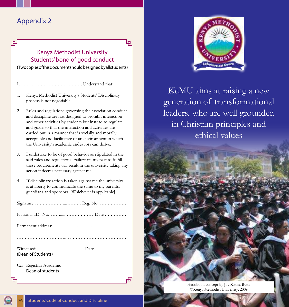# <span id="page-43-0"></span>Appendix 2

ᇛ

## Kenya Methodist University Students' bond of good conduct

(Two copies of this document should be signed by all students)

- I, …………………………………. Understand that;
- 1. Kenya Methodist University's Students' Disciplinary process is not negotiable.
- 2. Rules and regulations governing the association conduct and discipline are not designed to prohibit interaction and other activities by students but instead to regulate and guide so that the interaction and activities are carried out in a manner that is socially and morally acceptable and facilitative of an environment in which the University's academic endeavors can thrive.
- 3. I undertake to be of good behavior as stipulated in the said rules and regulations. Failure on my part to fulfill these requirements will result in the university taking any action it deems necessary against me.
- 4. If disciplinary action is taken against me the university is at liberty to communicate the same to my parents, guardians and sponsors. [Whichever is applicable]

| (Dean of Students)                         |
|--------------------------------------------|
| Cc: Registrar Academic<br>Dean of students |



KeMU aims at raising a new generation of transformational leaders, who are well grounded in Christian principles and ethical values

> Handbook concept by Joy Kirimi Buria ©Kenya Methodist University, 2009